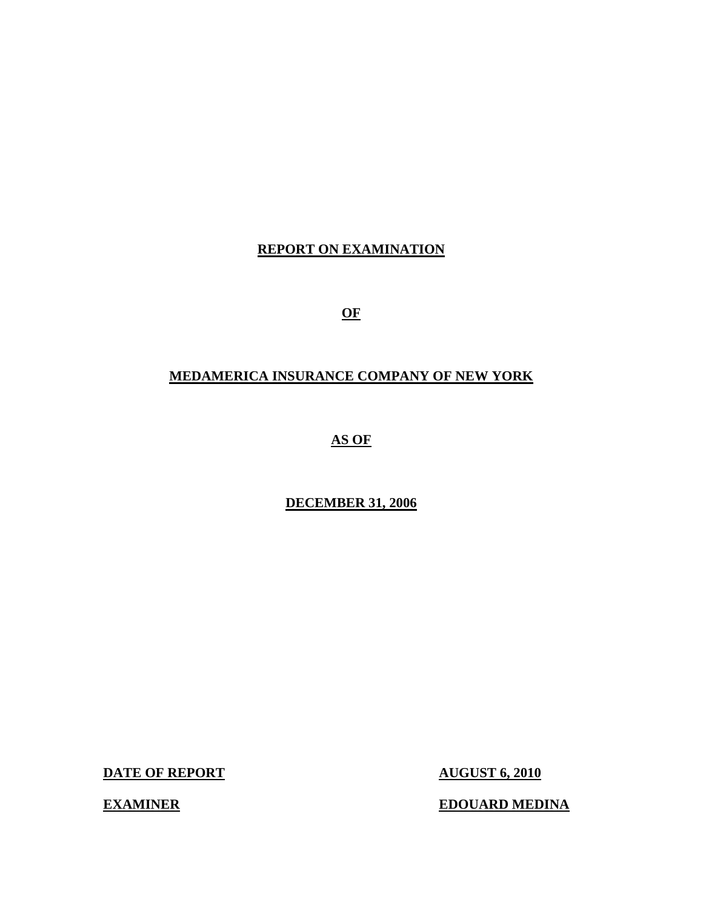# **REPORT ON EXAMINATION**

**OF** 

# **MEDAMERICA INSURANCE COMPANY OF NEW YORK**

**AS OF** 

# **DECEMBER 31, 2006**

**DATE OF REPORT AUGUST 6, 2010** 

**EXAMINER EXAMINER** EDOUARD MEDINA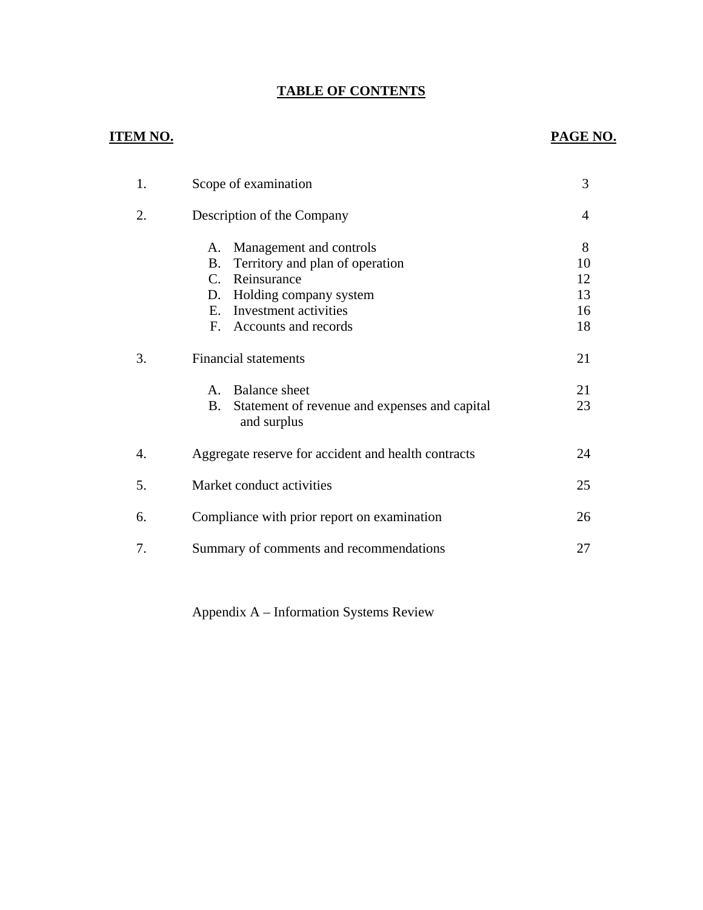# **TABLE OF CONTENTS**

# **ITEM NO. PAGE NO.**

| 1. | Scope of examination                                                                                                                                                                                     |                                 |  |  |  |
|----|----------------------------------------------------------------------------------------------------------------------------------------------------------------------------------------------------------|---------------------------------|--|--|--|
| 2. | Description of the Company                                                                                                                                                                               | $\overline{4}$                  |  |  |  |
|    | Management and controls<br>А.<br>Territory and plan of operation<br>B.<br>$C_{\cdot}$<br>Reinsurance<br>Holding company system<br>D.<br>Investment activities<br>$E_{\rm{m}}$<br>F. Accounts and records | 8<br>10<br>12<br>13<br>16<br>18 |  |  |  |
| 3. | <b>Financial statements</b>                                                                                                                                                                              | 21                              |  |  |  |
|    | <b>Balance</b> sheet<br>$A_{-}$<br>Statement of revenue and expenses and capital<br>B.<br>and surplus                                                                                                    | 21<br>23                        |  |  |  |
| 4. | Aggregate reserve for accident and health contracts                                                                                                                                                      | 24                              |  |  |  |
| 5. | Market conduct activities                                                                                                                                                                                | 25                              |  |  |  |
| 6. | Compliance with prior report on examination                                                                                                                                                              |                                 |  |  |  |
| 7. | Summary of comments and recommendations                                                                                                                                                                  |                                 |  |  |  |

Appendix A – Information Systems Review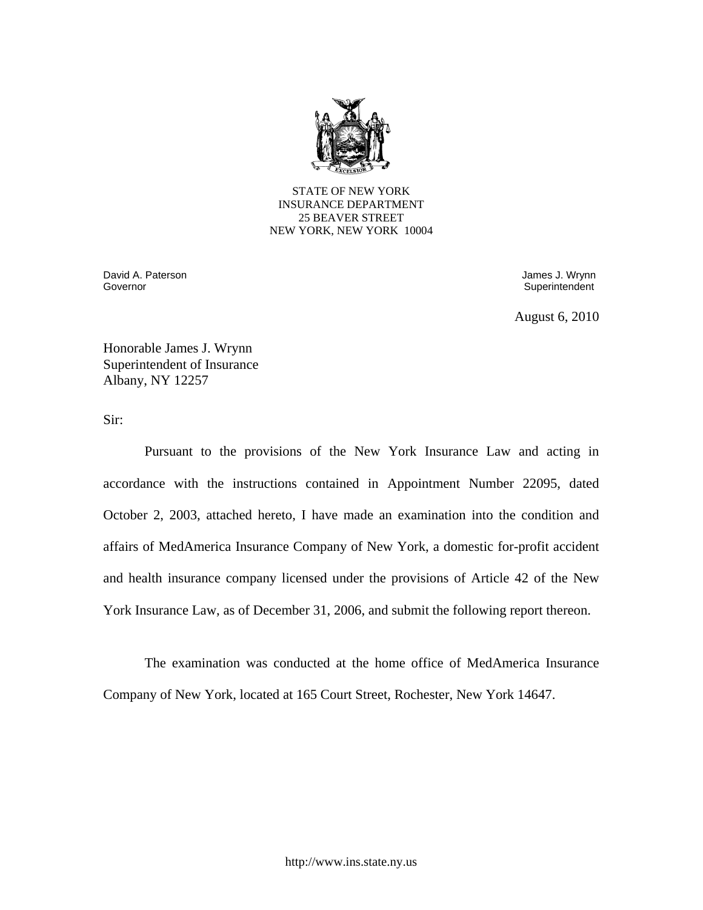

STATE OF NEW YORK INSURANCE DEPARTMENT 25 BEAVER STREET NEW YORK, NEW YORK 10004

 David A. Paterson James J. Wrynn Governor **Superintendent** Superintendent Superintendent Superintendent Superintendent Superintendent Superintendent

August 6, 2010

Honorable James J. Wrynn Superintendent of Insurance Albany, NY 12257

Sir:

Pursuant to the provisions of the New York Insurance Law and acting in accordance with the instructions contained in Appointment Number 22095, dated October 2, 2003, attached hereto, I have made an examination into the condition and affairs of MedAmerica Insurance Company of New York, a domestic for-profit accident and health insurance company licensed under the provisions of Article 42 of the New York Insurance Law, as of December 31, 2006, and submit the following report thereon.

The examination was conducted at the home office of MedAmerica Insurance Company of New York, located at 165 Court Street, Rochester, New York 14647.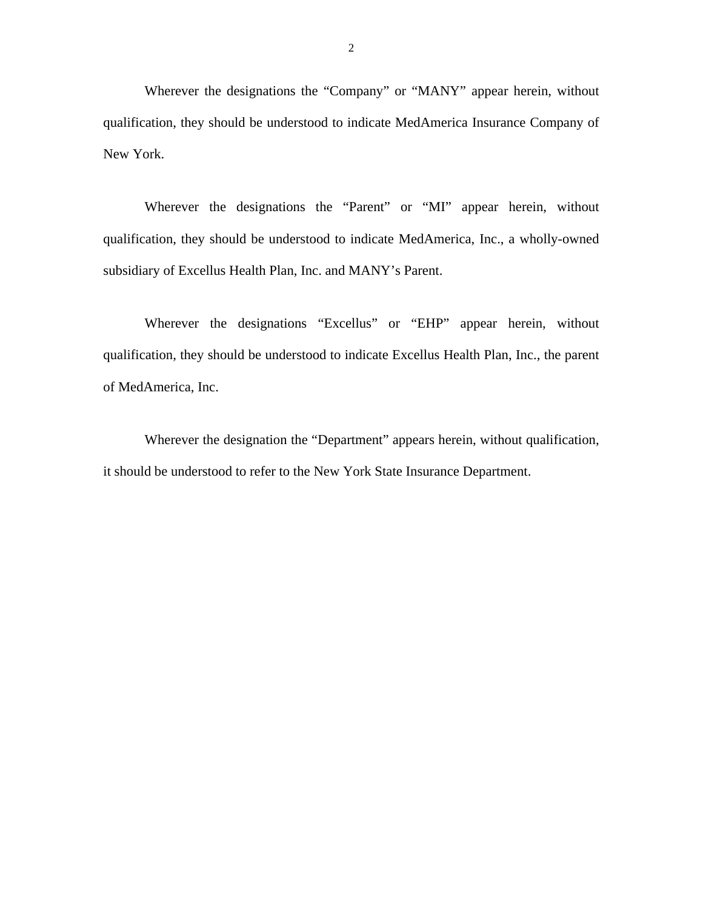Wherever the designations the "Company" or "MANY" appear herein, without qualification, they should be understood to indicate MedAmerica Insurance Company of New York.

Wherever the designations the "Parent" or "MI" appear herein, without qualification, they should be understood to indicate MedAmerica, Inc., a wholly-owned subsidiary of Excellus Health Plan, Inc. and MANY's Parent.

Wherever the designations "Excellus" or "EHP" appear herein, without qualification, they should be understood to indicate Excellus Health Plan, Inc., the parent of MedAmerica, Inc.

Wherever the designation the "Department" appears herein, without qualification, it should be understood to refer to the New York State Insurance Department.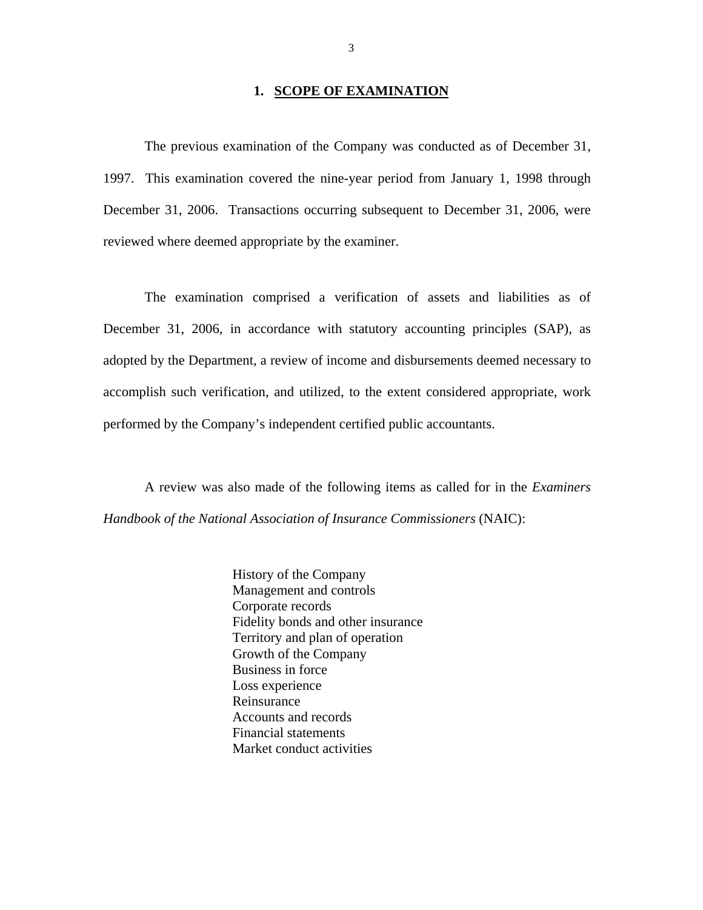#### 1. **SCOPE OF EXAMINATION**

<span id="page-4-0"></span>The previous examination of the Company was conducted as of December 31, 1997. This examination covered the nine-year period from January 1, 1998 through December 31, 2006. Transactions occurring subsequent to December 31, 2006, were reviewed where deemed appropriate by the examiner.

The examination comprised a verification of assets and liabilities as of December 31, 2006, in accordance with statutory accounting principles (SAP), as adopted by the Department, a review of income and disbursements deemed necessary to accomplish such verification, and utilized, to the extent considered appropriate, work performed by the Company's independent certified public accountants.

A review was also made of the following items as called for in the *Examiners Handbook of the National Association of Insurance Commissioners* (NAIC):

> History of the Company Management and controls Corporate records Fidelity bonds and other insurance Territory and plan of operation Growth of the Company Business in force Loss experience Reinsurance Accounts and records Financial statements Market conduct activities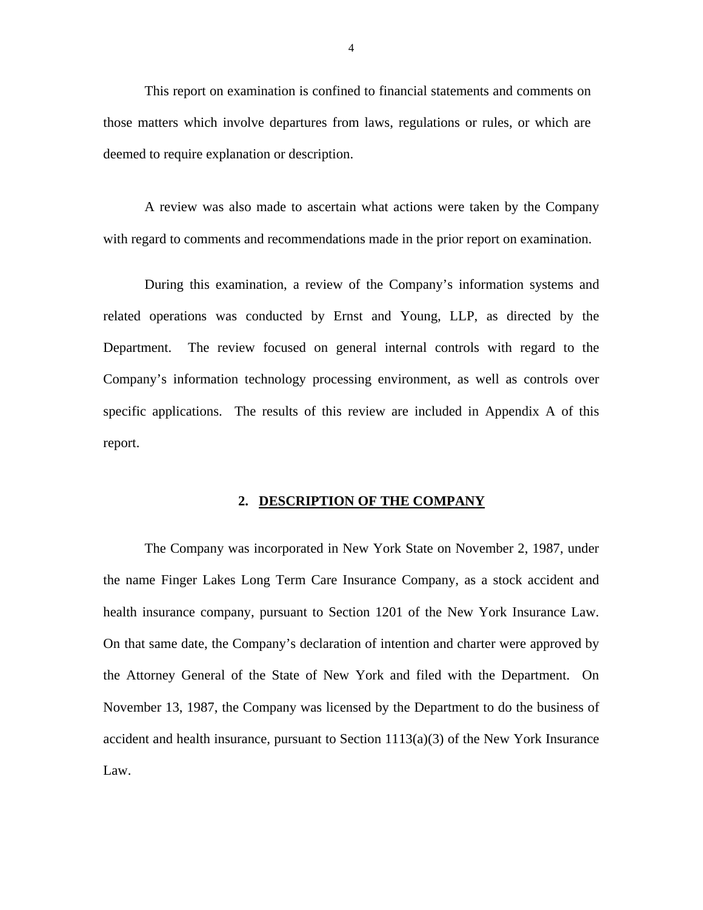<span id="page-5-0"></span>This report on examination is confined to financial statements and comments on those matters which involve departures from laws, regulations or rules, or which are deemed to require explanation or description.

A review was also made to ascertain what actions were taken by the Company with regard to comments and recommendations made in the prior report on examination.

During this examination, a review of the Company's information systems and related operations was conducted by Ernst and Young, LLP, as directed by the Department. The review focused on general internal controls with regard to the Company's information technology processing environment, as well as controls over specific applications. The results of this review are included in Appendix A of this report.

#### **2. DESCRIPTION OF THE COMPANY**

The Company was incorporated in New York State on November 2, 1987, under the name Finger Lakes Long Term Care Insurance Company, as a stock accident and health insurance company, pursuant to Section 1201 of the New York Insurance Law. On that same date, the Company's declaration of intention and charter were approved by the Attorney General of the State of New York and filed with the Department. On November 13, 1987, the Company was licensed by the Department to do the business of accident and health insurance, pursuant to Section  $1113(a)(3)$  of the New York Insurance Law.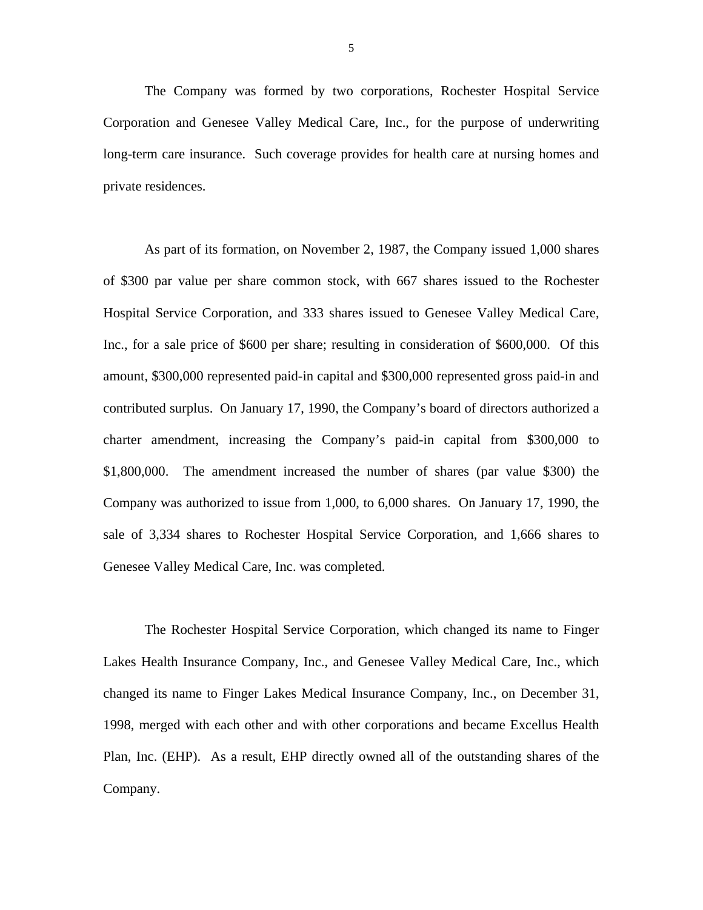<span id="page-6-0"></span>The Company was formed by two corporations, Rochester Hospital Service Corporation and Genesee Valley Medical Care, Inc., for the purpose of underwriting long-term care insurance. Such coverage provides for health care at nursing homes and private residences.

As part of its formation, on November 2, 1987, the Company issued 1,000 shares of \$300 par value per share common stock, with 667 shares issued to the Rochester Hospital Service Corporation, and 333 shares issued to Genesee Valley Medical Care, Inc., for a sale price of \$600 per share; resulting in consideration of \$600,000. Of this amount, \$300,000 represented paid-in capital and \$300,000 represented gross paid-in and contributed surplus. On January 17, 1990, the Company's board of directors authorized a charter amendment, increasing the Company's paid-in capital from \$300,000 to \$1,800,000. The amendment increased the number of shares (par value \$300) the Company was authorized to issue from 1,000, to 6,000 shares. On January 17, 1990, the sale of 3,334 shares to Rochester Hospital Service Corporation, and 1,666 shares to Genesee Valley Medical Care, Inc. was completed.

The Rochester Hospital Service Corporation, which changed its name to Finger Lakes Health Insurance Company, Inc., and Genesee Valley Medical Care, Inc., which changed its name to Finger Lakes Medical Insurance Company, Inc., on December 31, 1998, merged with each other and with other corporations and became Excellus Health Plan, Inc. (EHP). As a result, EHP directly owned all of the outstanding shares of the Company.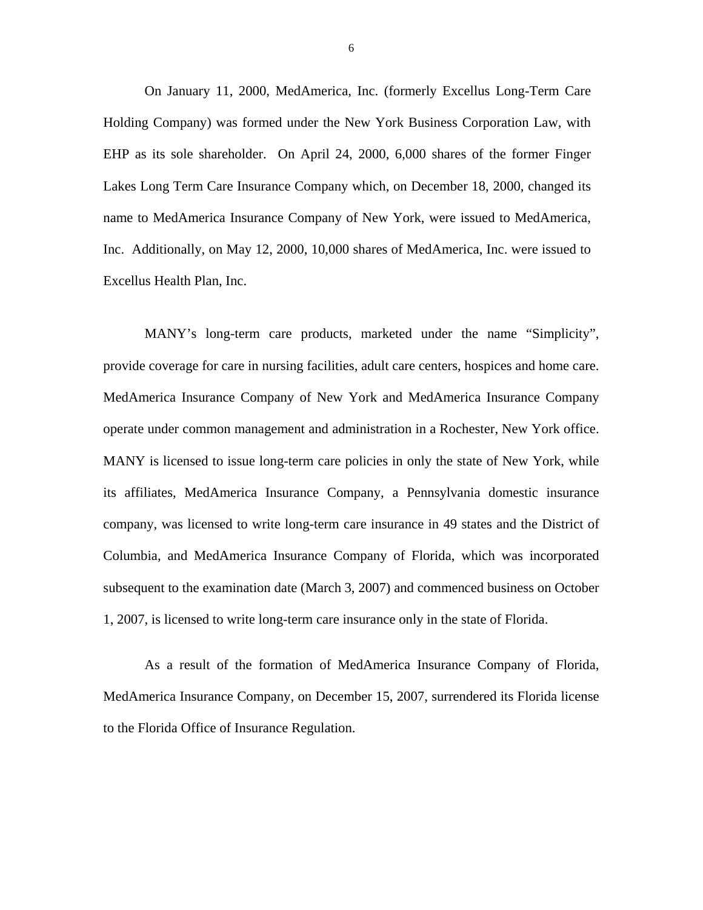On January 11, 2000, MedAmerica, Inc. (formerly Excellus Long-Term Care Holding Company) was formed under the New York Business Corporation Law, with EHP as its sole shareholder. On April 24, 2000, 6,000 shares of the former Finger Lakes Long Term Care Insurance Company which, on December 18, 2000, changed its name to MedAmerica Insurance Company of New York, were issued to MedAmerica, Inc. Additionally, on May 12, 2000, 10,000 shares of MedAmerica, Inc. were issued to Excellus Health Plan, Inc.

MANY's long-term care products, marketed under the name "Simplicity", provide coverage for care in nursing facilities, adult care centers, hospices and home care. MedAmerica Insurance Company of New York and MedAmerica Insurance Company operate under common management and administration in a Rochester, New York office. MANY is licensed to issue long-term care policies in only the state of New York, while its affiliates, MedAmerica Insurance Company, a Pennsylvania domestic insurance company, was licensed to write long-term care insurance in 49 states and the District of Columbia, and MedAmerica Insurance Company of Florida, which was incorporated subsequent to the examination date (March 3, 2007) and commenced business on October 1, 2007, is licensed to write long-term care insurance only in the state of Florida.

As a result of the formation of MedAmerica Insurance Company of Florida, MedAmerica Insurance Company, on December 15, 2007, surrendered its Florida license to the Florida Office of Insurance Regulation.

6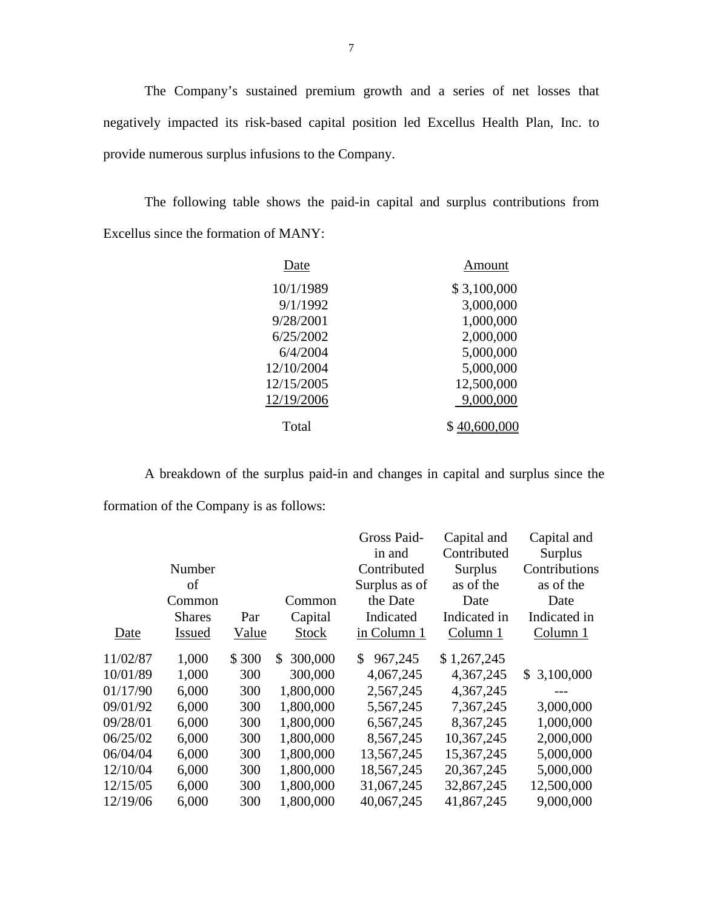The Company's sustained premium growth and a series of net losses that negatively impacted its risk-based capital position led Excellus Health Plan, Inc. to provide numerous surplus infusions to the Company.

The following table shows the paid-in capital and surplus contributions from Excellus since the formation of MANY:

| Date       | Amount       |
|------------|--------------|
| 10/1/1989  | \$3,100,000  |
| 9/1/1992   | 3,000,000    |
| 9/28/2001  | 1,000,000    |
| 6/25/2002  | 2,000,000    |
| 6/4/2004   | 5,000,000    |
| 12/10/2004 | 5,000,000    |
| 12/15/2005 | 12,500,000   |
| 12/19/2006 | 9,000,000    |
| Total      | \$40,600,000 |

A breakdown of the surplus paid-in and changes in capital and surplus since the formation of the Company is as follows:

|          | Number<br>οf<br>Common<br><b>Shares</b> | Par   | Common<br>Capital | Gross Paid-<br>in and<br>Contributed<br>Surplus as of<br>the Date<br>Indicated | Capital and<br>Contributed<br><b>Surplus</b><br>as of the<br>Date<br>Indicated in | Capital and<br><b>Surplus</b><br>Contributions<br>as of the<br>Date<br>Indicated in |
|----------|-----------------------------------------|-------|-------------------|--------------------------------------------------------------------------------|-----------------------------------------------------------------------------------|-------------------------------------------------------------------------------------|
| Date     | <b>Issued</b>                           | Value | <b>Stock</b>      | in Column 1                                                                    | Column 1                                                                          | Column 1                                                                            |
| 11/02/87 | 1,000                                   | \$300 | 300,000<br>\$.    | 967,245<br>\$                                                                  | \$1,267,245                                                                       |                                                                                     |
| 10/01/89 | 1,000                                   | 300   | 300,000           | 4,067,245                                                                      | 4,367,245                                                                         | 3,100,000<br>\$                                                                     |
| 01/17/90 | 6,000                                   | 300   | 1,800,000         | 2,567,245                                                                      | 4,367,245                                                                         |                                                                                     |
| 09/01/92 | 6,000                                   | 300   | 1,800,000         | 5,567,245                                                                      | 7,367,245                                                                         | 3,000,000                                                                           |
| 09/28/01 | 6,000                                   | 300   | 1,800,000         | 6,567,245                                                                      | 8,367,245                                                                         | 1,000,000                                                                           |
| 06/25/02 | 6,000                                   | 300   | 1,800,000         | 8,567,245                                                                      | 10,367,245                                                                        | 2,000,000                                                                           |
| 06/04/04 | 6,000                                   | 300   | 1,800,000         | 13,567,245                                                                     | 15,367,245                                                                        | 5,000,000                                                                           |
| 12/10/04 | 6,000                                   | 300   | 1,800,000         | 18,567,245                                                                     | 20, 367, 245                                                                      | 5,000,000                                                                           |
| 12/15/05 | 6,000                                   | 300   | 1,800,000         | 31,067,245                                                                     | 32,867,245                                                                        | 12,500,000                                                                          |
| 12/19/06 | 6,000                                   | 300   | 1,800,000         | 40,067,245                                                                     | 41,867,245                                                                        | 9,000,000                                                                           |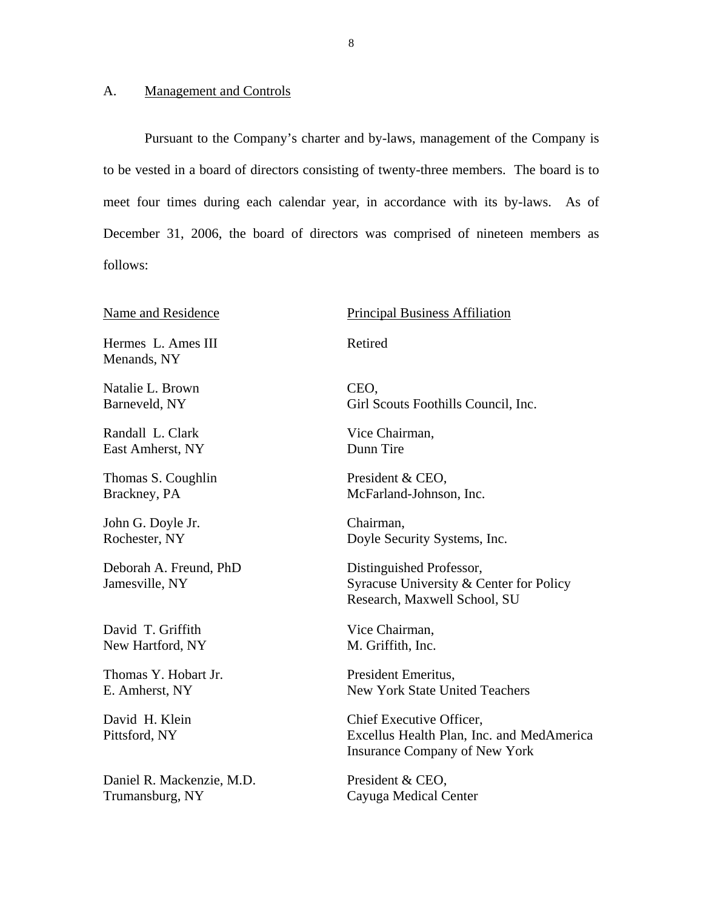#### <span id="page-9-0"></span>A. Management and Controls

Pursuant to the Company's charter and by-laws, management of the Company is to be vested in a board of directors consisting of twenty-three members. The board is to meet four times during each calendar year, in accordance with its by-laws. As of December 31, 2006, the board of directors was comprised of nineteen members as follows:

#### Name and Residence

Hermes L. Ames III Menands, NY

Natalie L. Brown Barneveld, NY

Randall L. Clark East Amherst, NY

Thomas S. Coughlin Brackney, PA

John G. Doyle Jr. Rochester, NY

Deborah A. Freund, PhD Jamesville, NY

David T. Griffith New Hartford, NY

Thomas Y. Hobart Jr. E. Amherst, NY

Pittsford, NY David H. Klein

Daniel R. Mackenzie, M.D. Trumansburg, NY

#### Principal Business Affiliation

Retired

CEO, Girl Scouts Foothills Council, Inc.

Vice Chairman, Dunn Tire

President & CEO, McFarland-Johnson, Inc.

Chairman, Doyle Security Systems, Inc.

Distinguished Professor, Syracuse University & Center for Policy Research, Maxwell School, SU

Vice Chairman, M. Griffith, Inc.

President Emeritus, New York State United Teachers

Chief Executive Officer, Excellus Health Plan, Inc. and MedAmerica Insurance Company of New York

President & CEO, Cayuga Medical Center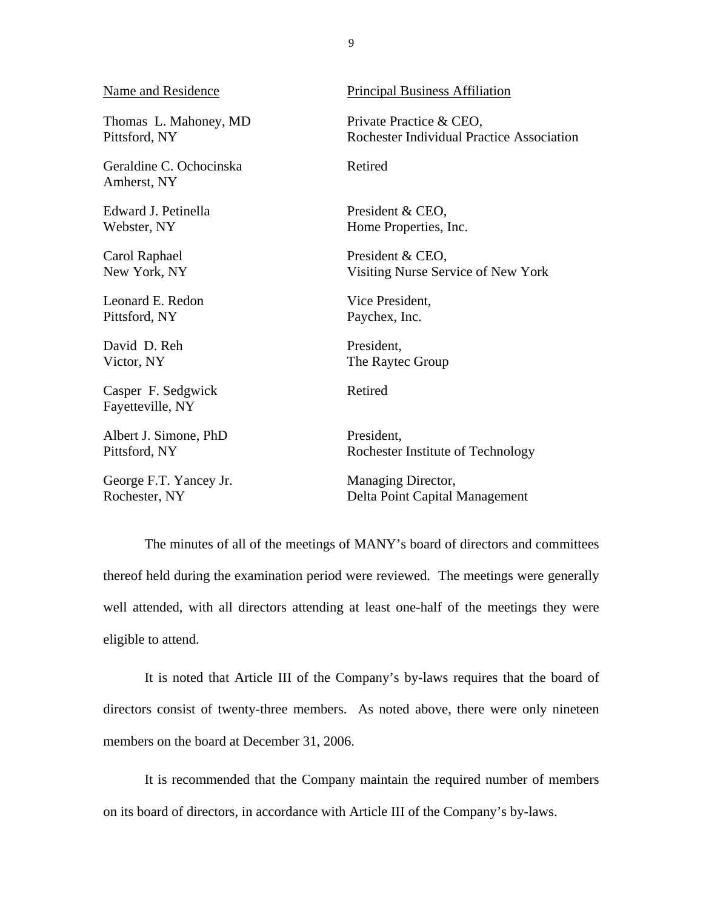| Name and Residence                     | <b>Principal Business Affiliation</b>     |
|----------------------------------------|-------------------------------------------|
| Thomas L. Mahoney, MD                  | Private Practice & CEO,                   |
| Pittsford, NY                          | Rochester Individual Practice Association |
| Geraldine C. Ochocinska<br>Amherst, NY | Retired                                   |
| Edward J. Petinella                    | President & CEO,                          |
| Webster, NY                            | Home Properties, Inc.                     |
| Carol Raphael                          | President & CEO,                          |
| New York, NY                           | Visiting Nurse Service of New York        |
| Leonard E. Redon                       | Vice President,                           |
| Pittsford, NY                          | Paychex, Inc.                             |
| David D. Reh                           | President,                                |
| Victor, NY                             | The Raytec Group                          |
| Casper F. Sedgwick<br>Fayetteville, NY | Retired                                   |
| Albert J. Simone, PhD                  | President.                                |
| Pittsford, NY                          | Rochester Institute of Technology         |
| George F.T. Yancey Jr.                 | Managing Director,                        |
| Rochester, NY                          | Delta Point Capital Management            |

The minutes of all of the meetings of MANY's board of directors and committees thereof held during the examination period were reviewed. The meetings were generally well attended, with all directors attending at least one-half of the meetings they were eligible to attend.

It is noted that Article III of the Company's by-laws requires that the board of directors consist of twenty-three members. As noted above, there were only nineteen members on the board at December 31, 2006.

It is recommended that the Company maintain the required number of members on its board of directors, in accordance with Article III of the Company's by-laws.

9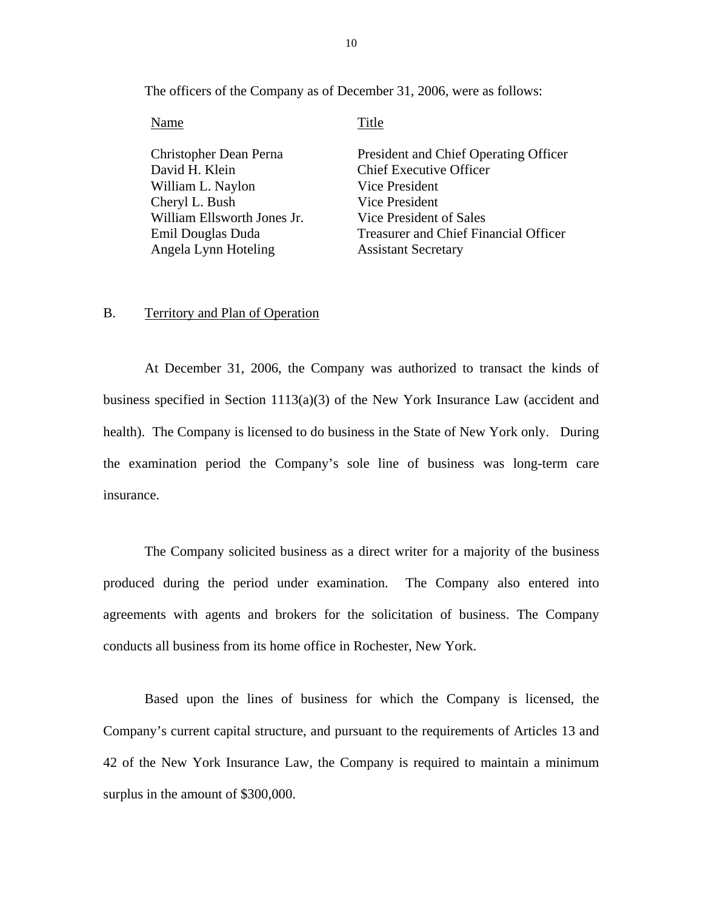<span id="page-11-0"></span>The officers of the Company as of December 31, 2006, were as follows:

Name Title

David H. Klein Chief Executive Officer William L. Naylon Vice President Cheryl L. Bush Vice President William Ellsworth Jones Jr. Vice President of Sales Angela Lynn Hoteling Assistant Secretary

Christopher Dean Perna President and Chief Operating Officer

Emil Douglas Duda Treasurer and Chief Financial Officer

#### B. Territory and Plan of Operation

At December 31, 2006, the Company was authorized to transact the kinds of business specified in Section 1113(a)(3) of the New York Insurance Law (accident and health). The Company is licensed to do business in the State of New York only. During the examination period the Company's sole line of business was long-term care insurance.

The Company solicited business as a direct writer for a majority of the business produced during the period under examination. The Company also entered into agreements with agents and brokers for the solicitation of business. The Company conducts all business from its home office in Rochester, New York.

Based upon the lines of business for which the Company is licensed, the Company's current capital structure, and pursuant to the requirements of Articles 13 and 42 of the New York Insurance Law, the Company is required to maintain a minimum surplus in the amount of \$300,000.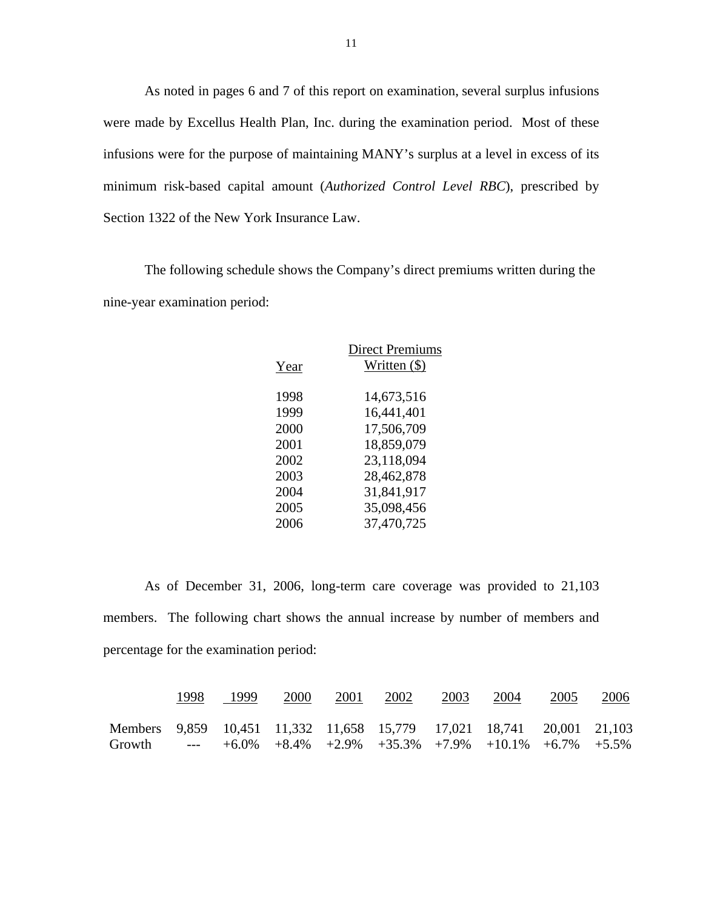As noted in pages 6 and 7 of this report on examination, several surplus infusions were made by Excellus Health Plan, Inc. during the examination period. Most of these infusions were for the purpose of maintaining MANY's surplus at a level in excess of its minimum risk-based capital amount (*Authorized Control Level RBC*), prescribed by Section 1322 of the New York Insurance Law.

The following schedule shows the Company's direct premiums written during the nine-year examination period:

|      | <b>Direct Premiums</b> |
|------|------------------------|
| Year | Written $(\$)$         |
|      |                        |
| 1998 | 14,673,516             |
| 1999 | 16,441,401             |
| 2000 | 17,506,709             |
| 2001 | 18,859,079             |
| 2002 | 23,118,094             |
| 2003 | 28,462,878             |
| 2004 | 31,841,917             |
| 2005 | 35,098,456             |
| 2006 | 37,470,725             |

As of December 31, 2006, long-term care coverage was provided to 21,103 members. The following chart shows the annual increase by number of members and percentage for the examination period:

|                                                                       | 1998 | 1999 | 2000 | 2001 | 2002 | 2003 | 2004 | 2005 | <u>2006</u> |
|-----------------------------------------------------------------------|------|------|------|------|------|------|------|------|-------------|
| Members 9,859 10,451 11,332 11,658 15,779 17,021 18,741 20,001 21,103 |      |      |      |      |      |      |      |      |             |
| Growth --- +6.0% +8.4% +2.9% +35.3% +7.9% +10.1% +6.7% +5.5%          |      |      |      |      |      |      |      |      |             |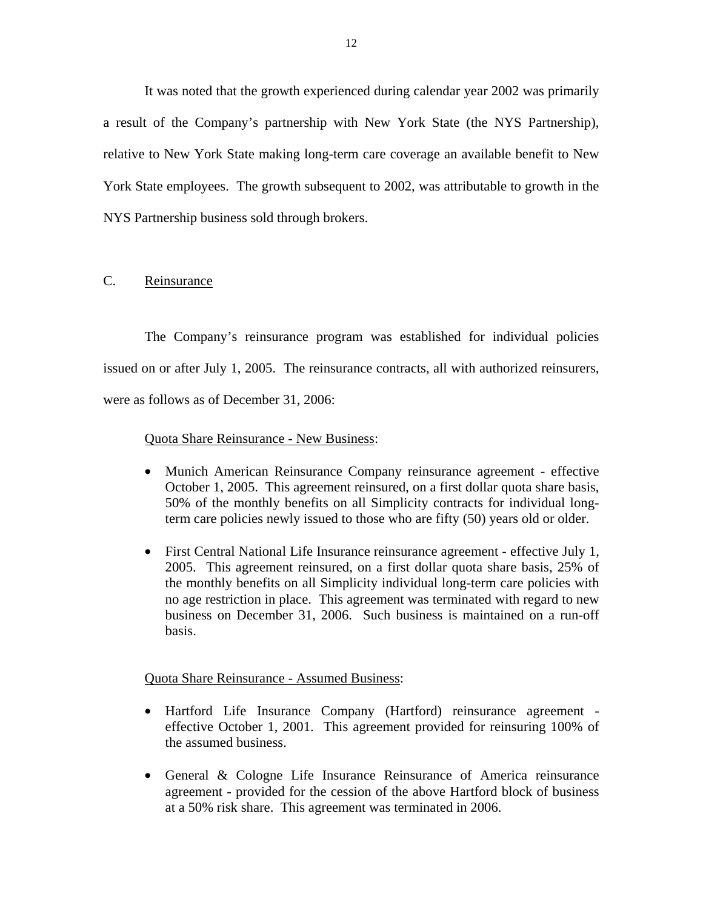<span id="page-13-0"></span>It was noted that the growth experienced during calendar year 2002 was primarily a result of the Company's partnership with New York State (the NYS Partnership), relative to New York State making long-term care coverage an available benefit to New York State employees. The growth subsequent to 2002, was attributable to growth in the NYS Partnership business sold through brokers.

#### C. Reinsurance

The Company's reinsurance program was established for individual policies issued on or after July 1, 2005. The reinsurance contracts, all with authorized reinsurers, were as follows as of December 31, 2006:

Quota Share Reinsurance - New Business:

- Munich American Reinsurance Company reinsurance agreement effective October 1, 2005. This agreement reinsured, on a first dollar quota share basis, 50% of the monthly benefits on all Simplicity contracts for individual longterm care policies newly issued to those who are fifty (50) years old or older.
- First Central National Life Insurance reinsurance agreement effective July 1, 2005. This agreement reinsured, on a first dollar quota share basis, 25% of the monthly benefits on all Simplicity individual long-term care policies with no age restriction in place. This agreement was terminated with regard to new business on December 31, 2006. Such business is maintained on a run-off basis.

#### Quota Share Reinsurance - Assumed Business:

- Hartford Life Insurance Company (Hartford) reinsurance agreement effective October 1, 2001. This agreement provided for reinsuring 100% of the assumed business.
- General & Cologne Life Insurance Reinsurance of America reinsurance agreement - provided for the cession of the above Hartford block of business at a 50% risk share. This agreement was terminated in 2006.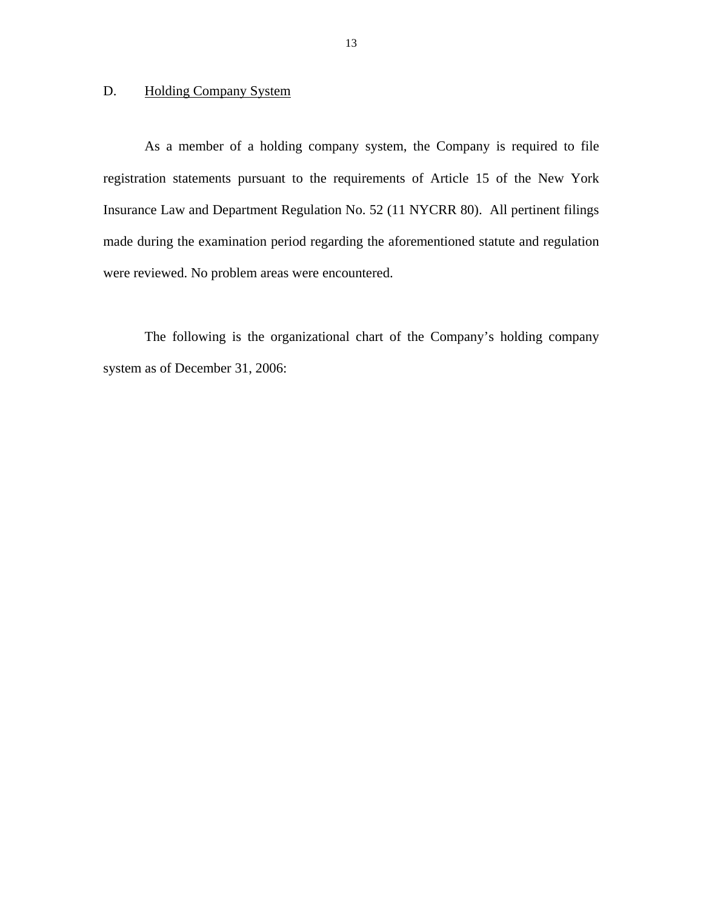## <span id="page-14-0"></span>D. Holding Company System

As a member of a holding company system, the Company is required to file registration statements pursuant to the requirements of Article 15 of the New York Insurance Law and Department Regulation No. 52 (11 NYCRR 80). All pertinent filings made during the examination period regarding the aforementioned statute and regulation were reviewed. No problem areas were encountered.

The following is the organizational chart of the Company's holding company system as of December 31, 2006: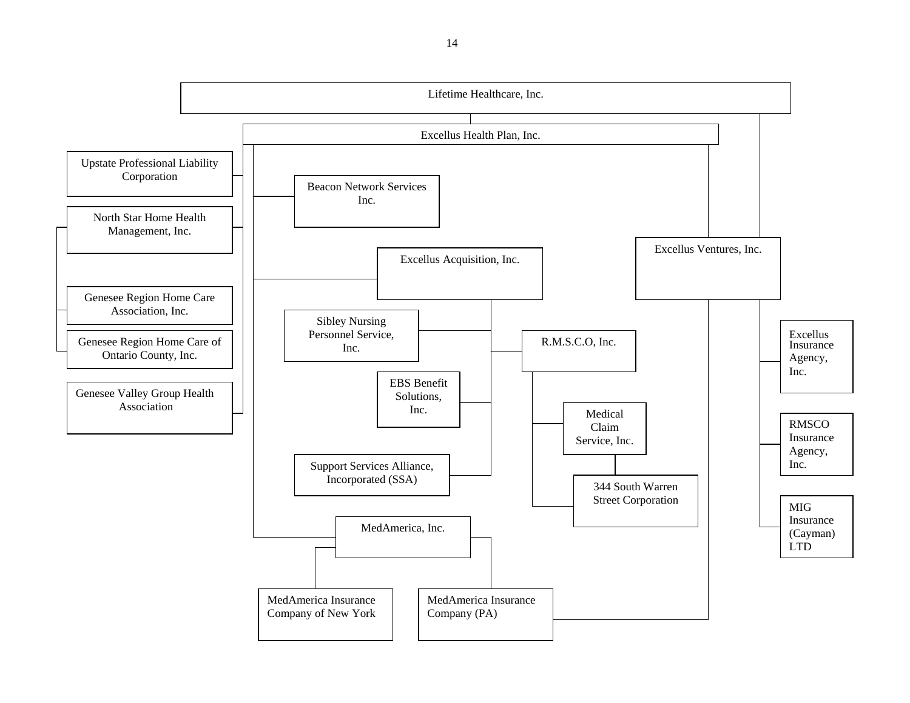Genesee Valley Group Health Lifetime Healthcare, Inc. Excellus Health Plan, Inc. Beacon Network Services Inc. Excellus Acquisition, Inc. Sibley Nursing Personnel Service, Inc. EBS Benefit Solutions, Inc. Support Services Alliance, Incorporated (SSA) Upstate Professional Liability Corporation North Star Home Health Management, Inc. Genesee Region Home Care Association, Inc. Genesee Region Home Care of Ontario County, Inc. R.M.S.C.O, Inc. Excellus Ventures, Inc. Medical Claim Service, Inc. MedAmerica, Inc. 344 South Warren Street Corporation MedAmerica Insurance Company of New York MedAmerica Insurance Company (PA) Excellus Insurance Agency, Inc. RMSCO Insurance Agency, Inc. MIG Insurance (Cayman) LTD Association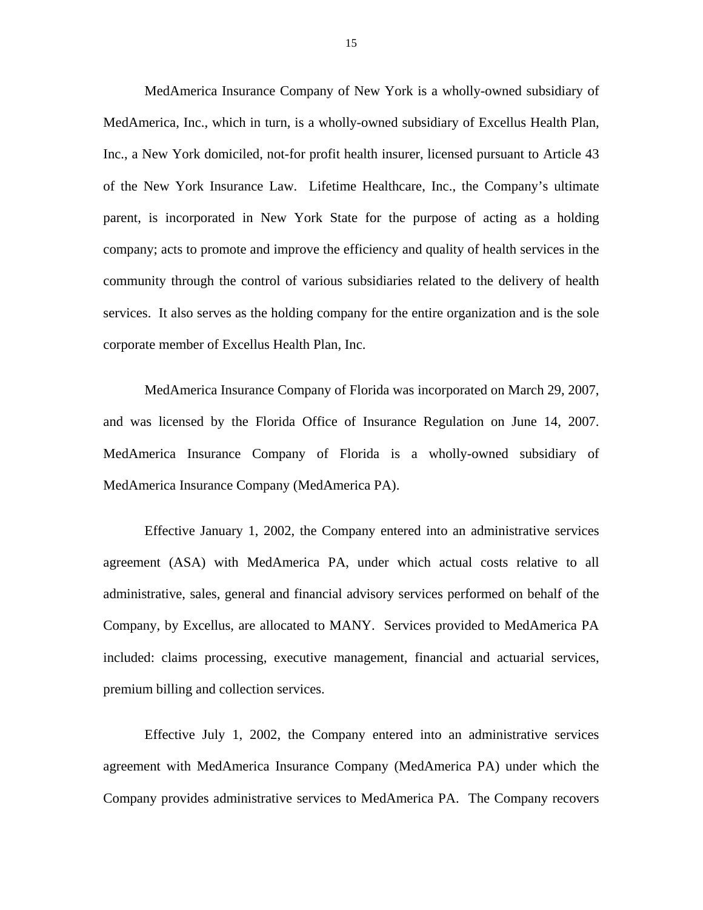MedAmerica Insurance Company of New York is a wholly-owned subsidiary of MedAmerica, Inc., which in turn, is a wholly-owned subsidiary of Excellus Health Plan, Inc., a New York domiciled, not-for profit health insurer, licensed pursuant to Article 43 of the New York Insurance Law. Lifetime Healthcare, Inc., the Company's ultimate parent, is incorporated in New York State for the purpose of acting as a holding company; acts to promote and improve the efficiency and quality of health services in the community through the control of various subsidiaries related to the delivery of health services. It also serves as the holding company for the entire organization and is the sole corporate member of Excellus Health Plan, Inc.

MedAmerica Insurance Company of Florida was incorporated on March 29, 2007, and was licensed by the Florida Office of Insurance Regulation on June 14, 2007. MedAmerica Insurance Company of Florida is a wholly-owned subsidiary of MedAmerica Insurance Company (MedAmerica PA).

Effective January 1, 2002, the Company entered into an administrative services agreement (ASA) with MedAmerica PA, under which actual costs relative to all administrative, sales, general and financial advisory services performed on behalf of the Company, by Excellus, are allocated to MANY. Services provided to MedAmerica PA included: claims processing, executive management, financial and actuarial services, premium billing and collection services.

Effective July 1, 2002, the Company entered into an administrative services agreement with MedAmerica Insurance Company (MedAmerica PA) under which the Company provides administrative services to MedAmerica PA. The Company recovers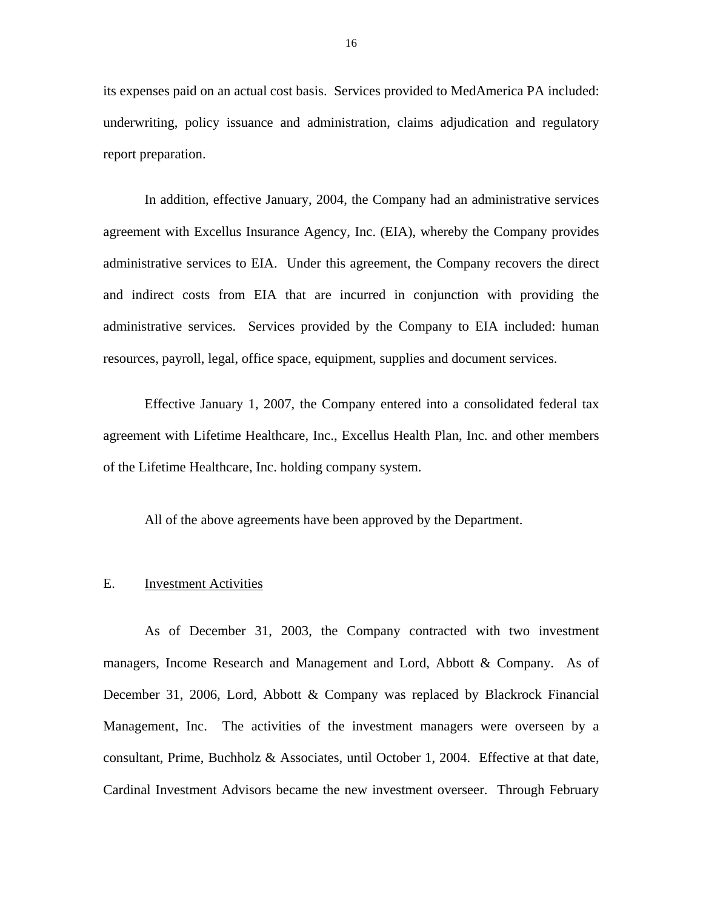<span id="page-17-0"></span>its expenses paid on an actual cost basis. Services provided to MedAmerica PA included: underwriting, policy issuance and administration, claims adjudication and regulatory report preparation.

In addition, effective January, 2004, the Company had an administrative services agreement with Excellus Insurance Agency, Inc. (EIA), whereby the Company provides administrative services to EIA. Under this agreement, the Company recovers the direct and indirect costs from EIA that are incurred in conjunction with providing the administrative services. Services provided by the Company to EIA included: human resources, payroll, legal, office space, equipment, supplies and document services.

Effective January 1, 2007, the Company entered into a consolidated federal tax agreement with Lifetime Healthcare, Inc., Excellus Health Plan, Inc. and other members of the Lifetime Healthcare, Inc. holding company system.

All of the above agreements have been approved by the Department.

#### E. Investment Activities

As of December 31, 2003, the Company contracted with two investment managers, Income Research and Management and Lord, Abbott & Company. As of December 31, 2006, Lord, Abbott & Company was replaced by Blackrock Financial Management, Inc. The activities of the investment managers were overseen by a consultant, Prime, Buchholz & Associates, until October 1, 2004. Effective at that date, Cardinal Investment Advisors became the new investment overseer. Through February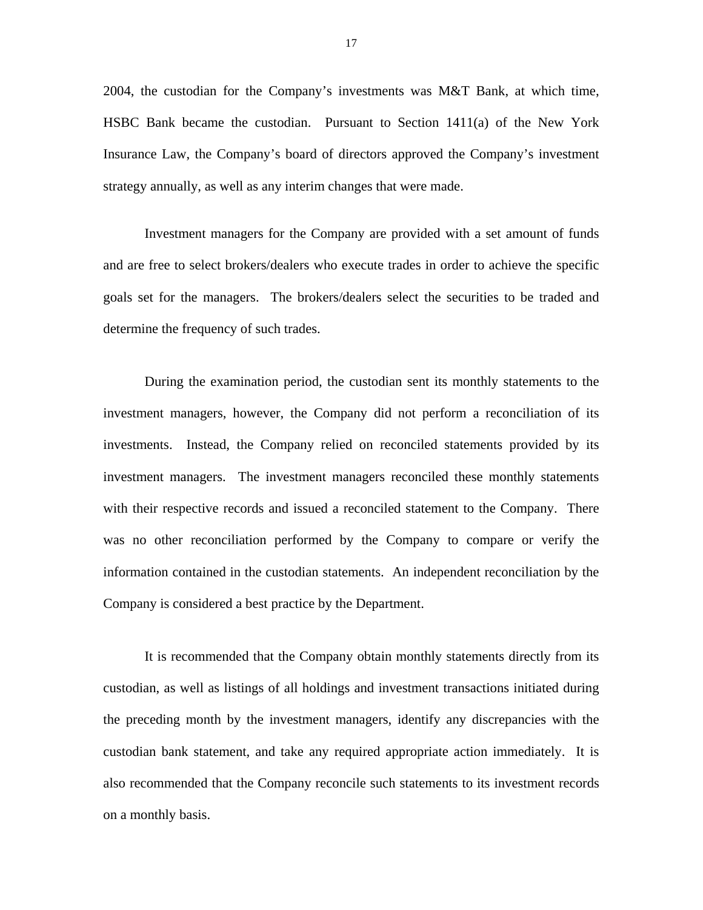2004, the custodian for the Company's investments was M&T Bank, at which time, HSBC Bank became the custodian. Pursuant to Section 1411(a) of the New York Insurance Law, the Company's board of directors approved the Company's investment strategy annually, as well as any interim changes that were made.

Investment managers for the Company are provided with a set amount of funds and are free to select brokers/dealers who execute trades in order to achieve the specific goals set for the managers. The brokers/dealers select the securities to be traded and determine the frequency of such trades.

During the examination period, the custodian sent its monthly statements to the investment managers, however, the Company did not perform a reconciliation of its investments. Instead, the Company relied on reconciled statements provided by its investment managers. The investment managers reconciled these monthly statements with their respective records and issued a reconciled statement to the Company. There was no other reconciliation performed by the Company to compare or verify the information contained in the custodian statements. An independent reconciliation by the Company is considered a best practice by the Department.

It is recommended that the Company obtain monthly statements directly from its custodian, as well as listings of all holdings and investment transactions initiated during the preceding month by the investment managers, identify any discrepancies with the custodian bank statement, and take any required appropriate action immediately. It is also recommended that the Company reconcile such statements to its investment records on a monthly basis.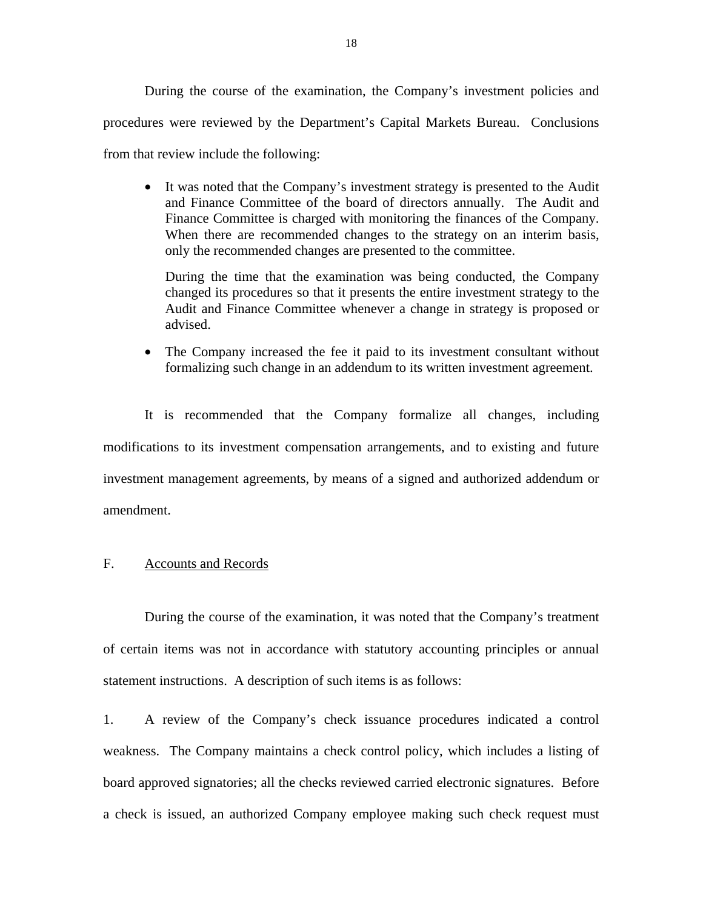<span id="page-19-0"></span>During the course of the examination, the Company's investment policies and procedures were reviewed by the Department's Capital Markets Bureau. Conclusions from that review include the following:

• It was noted that the Company's investment strategy is presented to the Audit and Finance Committee of the board of directors annually. The Audit and Finance Committee is charged with monitoring the finances of the Company. When there are recommended changes to the strategy on an interim basis, only the recommended changes are presented to the committee.

During the time that the examination was being conducted, the Company changed its procedures so that it presents the entire investment strategy to the Audit and Finance Committee whenever a change in strategy is proposed or advised.

• The Company increased the fee it paid to its investment consultant without formalizing such change in an addendum to its written investment agreement.

It is recommended that the Company formalize all changes, including modifications to its investment compensation arrangements, and to existing and future investment management agreements, by means of a signed and authorized addendum or amendment.

### **Accounts and Records**

F. Accounts and Records<br>During the course of the examination, it was noted that the Company's treatment of certain items was not in accordance with statutory accounting principles or annual statement instructions. A description of such items is as follows:

1. A review of the Company's check issuance procedures indicated a control weakness. The Company maintains a check control policy, which includes a listing of board approved signatories; all the checks reviewed carried electronic signatures. Before a check is issued, an authorized Company employee making such check request must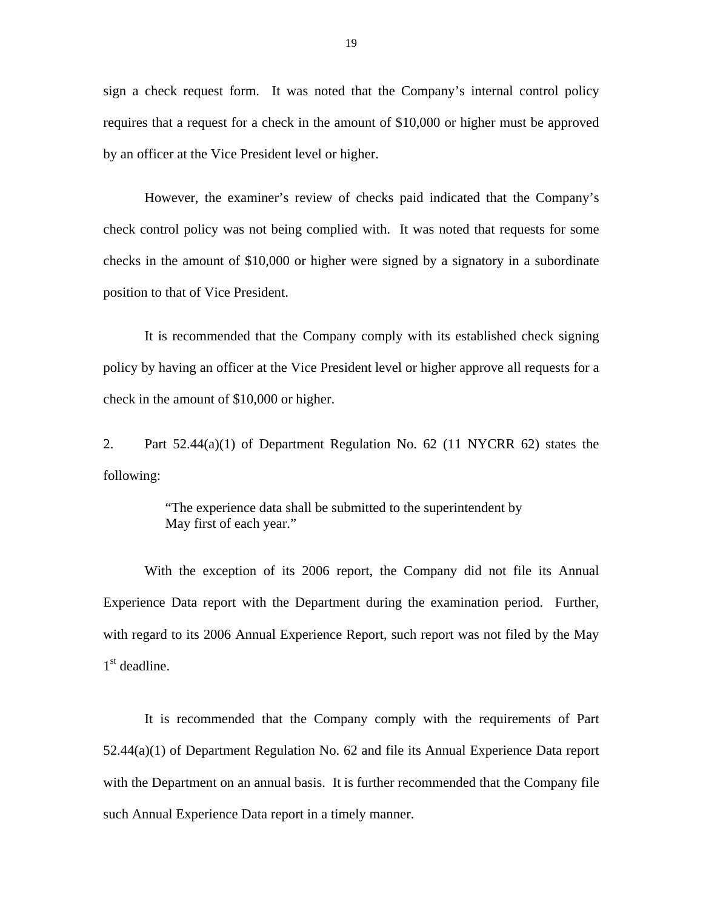sign a check request form. It was noted that the Company's internal control policy requires that a request for a check in the amount of \$10,000 or higher must be approved by an officer at the Vice President level or higher.

However, the examiner's review of checks paid indicated that the Company's check control policy was not being complied with. It was noted that requests for some checks in the amount of \$10,000 or higher were signed by a signatory in a subordinate position to that of Vice President.

It is recommended that the Company comply with its established check signing policy by having an officer at the Vice President level or higher approve all requests for a check in the amount of \$10,000 or higher.

2. Part 52.44(a)(1) of Department Regulation No. 62 (11 NYCRR 62) states the following:

> "The experience data shall be submitted to the superintendent by May first of each year."

With the exception of its 2006 report, the Company did not file its Annual Experience Data report with the Department during the examination period. Further, with regard to its 2006 Annual Experience Report, such report was not filed by the May 1<sup>st</sup> deadline.

It is recommended that the Company comply with the requirements of Part 52.44(a)(1) of Department Regulation No. 62 and file its Annual Experience Data report with the Department on an annual basis. It is further recommended that the Company file such Annual Experience Data report in a timely manner.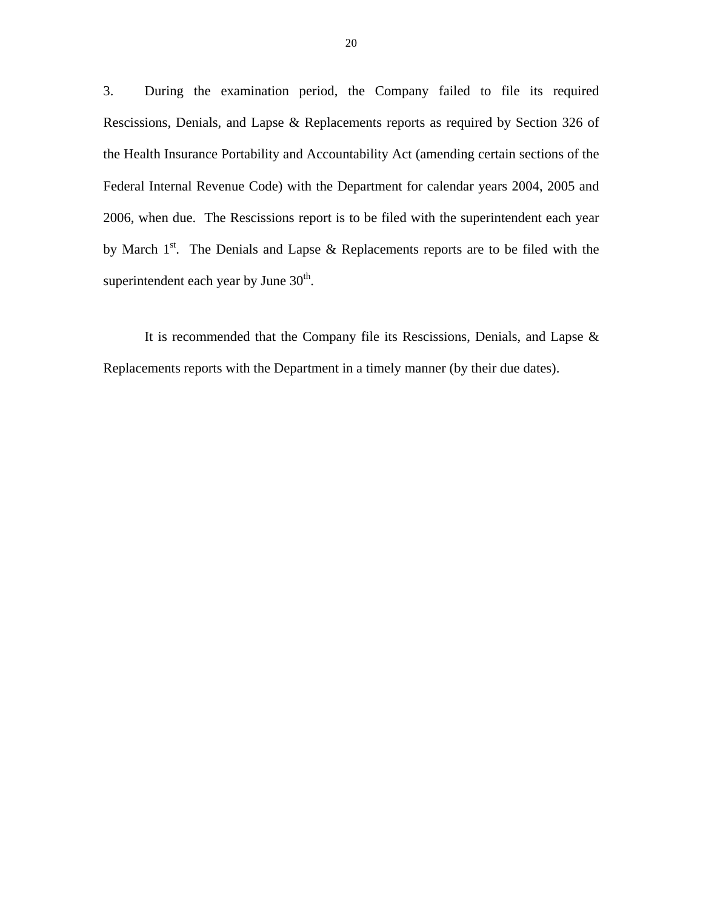3. During the examination period, the Company failed to file its required Rescissions, Denials, and Lapse & Replacements reports as required by Section 326 of the Health Insurance Portability and Accountability Act (amending certain sections of the Federal Internal Revenue Code) with the Department for calendar years 2004, 2005 and 2006, when due. The Rescissions report is to be filed with the superintendent each year by March  $1<sup>st</sup>$ . The Denials and Lapse & Replacements reports are to be filed with the superintendent each year by June  $30<sup>th</sup>$ .

It is recommended that the Company file its Rescissions, Denials, and Lapse & Replacements reports with the Department in a timely manner (by their due dates).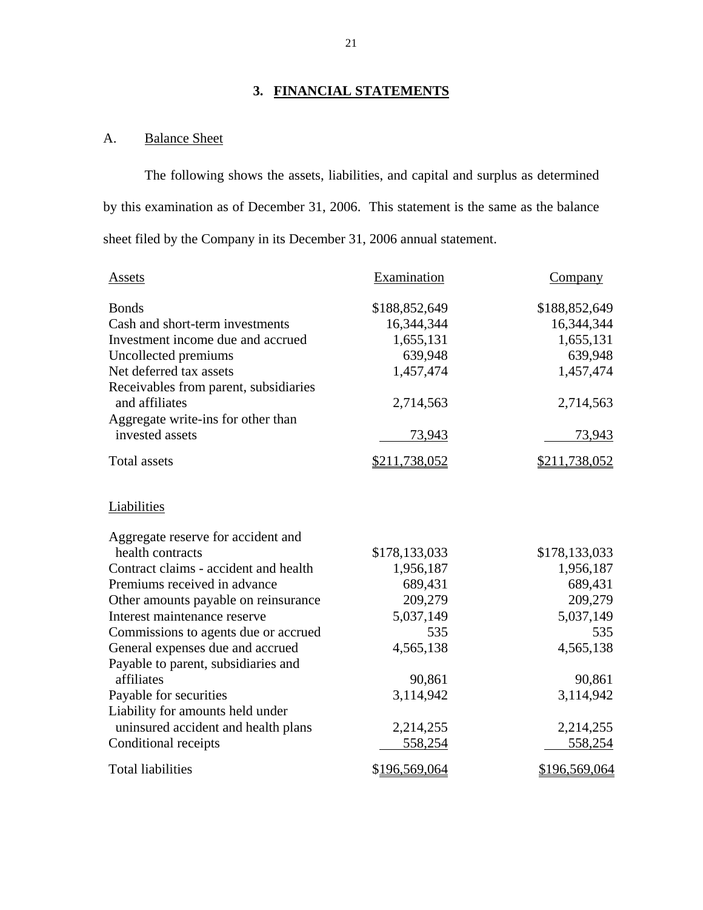# **3. FINANCIAL STATEMENTS**

# A. Balance Sheet

The following shows the assets, liabilities, and capital and surplus as determined by this examination as of December 31, 2006. This statement is the same as the balance sheet filed by the Company in its December 31, 2006 annual statement.

| Assets                                | Examination   | Company       |
|---------------------------------------|---------------|---------------|
| <b>Bonds</b>                          | \$188,852,649 | \$188,852,649 |
| Cash and short-term investments       | 16,344,344    | 16,344,344    |
| Investment income due and accrued     | 1,655,131     | 1,655,131     |
| Uncollected premiums                  | 639,948       | 639,948       |
| Net deferred tax assets               | 1,457,474     | 1,457,474     |
| Receivables from parent, subsidiaries |               |               |
| and affiliates                        | 2,714,563     | 2,714,563     |
| Aggregate write-ins for other than    |               |               |
| invested assets                       | 73,943        | 73,943        |
| <b>Total assets</b>                   | \$211,738,052 | \$211,738,052 |
| Liabilities                           |               |               |
| Aggregate reserve for accident and    |               |               |
| health contracts                      | \$178,133,033 | \$178,133,033 |
| Contract claims - accident and health | 1,956,187     | 1,956,187     |
| Premiums received in advance          | 689,431       | 689,431       |
| Other amounts payable on reinsurance  | 209,279       | 209,279       |
| Interest maintenance reserve          | 5,037,149     | 5,037,149     |
| Commissions to agents due or accrued  | 535           | 535           |
| General expenses due and accrued      | 4,565,138     | 4,565,138     |
| Payable to parent, subsidiaries and   |               |               |
| affiliates                            | 90,861        | 90,861        |
| Payable for securities                | 3,114,942     | 3,114,942     |
| Liability for amounts held under      |               |               |
| uninsured accident and health plans   | 2,214,255     | 2,214,255     |
| Conditional receipts                  | 558,254       | 558,254       |
| <b>Total liabilities</b>              | \$196,569,064 | \$196,569,064 |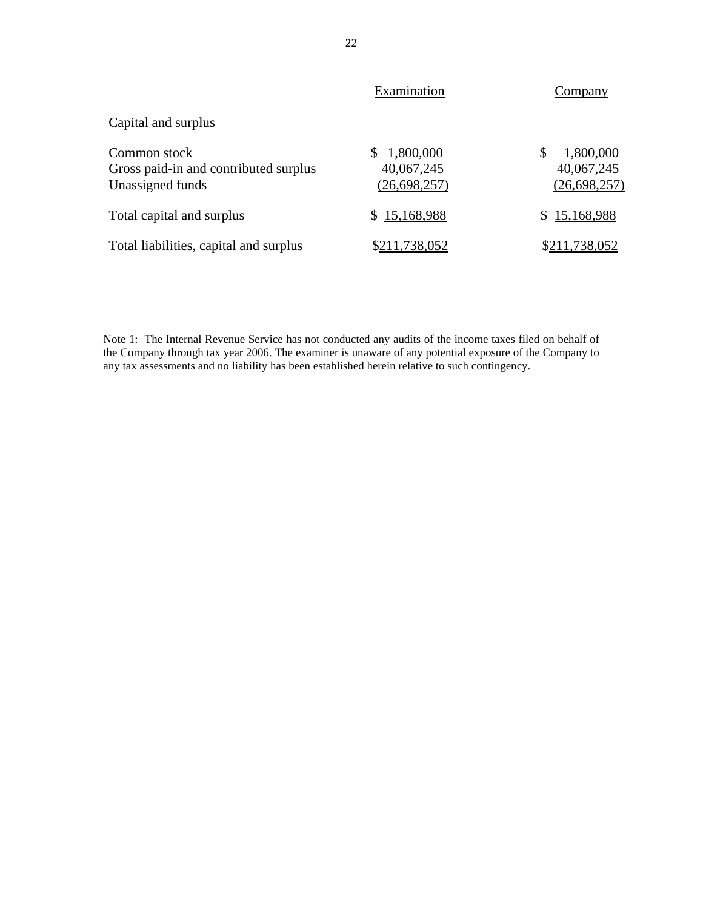|                                                                           | Examination                                     | Company                                         |
|---------------------------------------------------------------------------|-------------------------------------------------|-------------------------------------------------|
| Capital and surplus                                                       |                                                 |                                                 |
| Common stock<br>Gross paid-in and contributed surplus<br>Unassigned funds | \$<br>1,800,000<br>40,067,245<br>(26, 698, 257) | \$<br>1,800,000<br>40,067,245<br>(26, 698, 257) |
| Total capital and surplus                                                 | 15,168,988<br>S.                                | \$15,168,988                                    |
| Total liabilities, capital and surplus                                    | \$211,738,052                                   | \$211,738,052                                   |

Note 1: The Internal Revenue Service has not conducted any audits of the income taxes filed on behalf of the Company through tax year 2006. The examiner is unaware of any potential exposure of the Company to any tax assessments and no liability has been established herein relative to such contingency.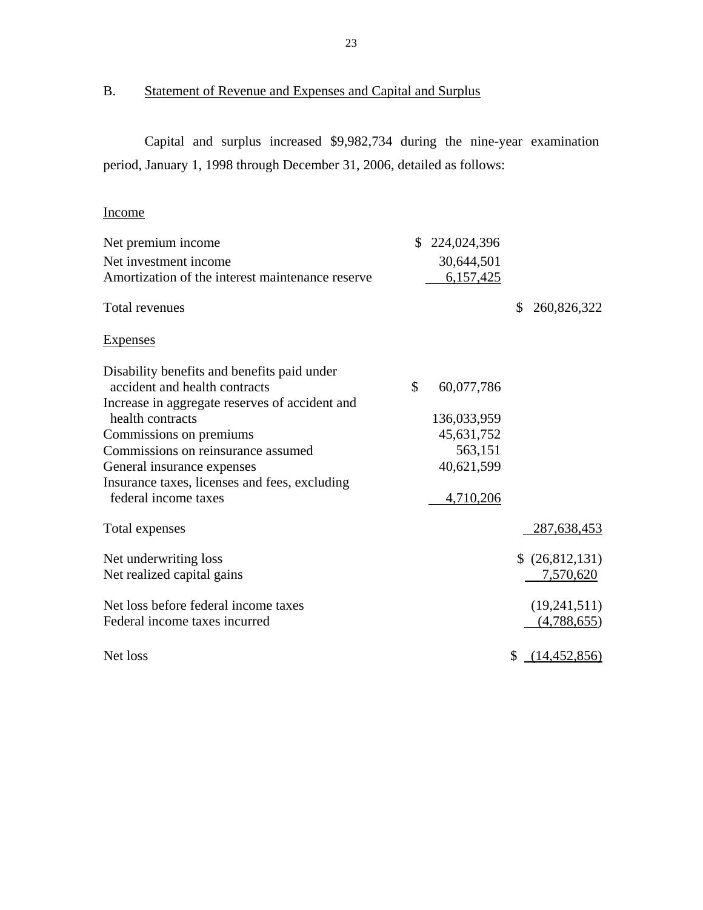B. Statement of Revenue and Expenses and Capital and Surplus

Capital and surplus increased \$9,982,734 during the nine-year examination period, January 1, 1998 through December 31, 2006, detailed as follows:

| <b>Income</b>                                                         |                   |                   |
|-----------------------------------------------------------------------|-------------------|-------------------|
| Net premium income                                                    | 224,024,396<br>\$ |                   |
| Net investment income                                                 | 30,644,501        |                   |
| Amortization of the interest maintenance reserve                      | 6,157,425         |                   |
| Total revenues                                                        |                   | \$<br>260,826,322 |
| <b>Expenses</b>                                                       |                   |                   |
| Disability benefits and benefits paid under                           |                   |                   |
| accident and health contracts                                         | \$<br>60,077,786  |                   |
| Increase in aggregate reserves of accident and                        |                   |                   |
| health contracts                                                      | 136,033,959       |                   |
| Commissions on premiums                                               | 45,631,752        |                   |
| Commissions on reinsurance assumed                                    | 563,151           |                   |
| General insurance expenses                                            | 40,621,599        |                   |
| Insurance taxes, licenses and fees, excluding<br>federal income taxes |                   |                   |
|                                                                       | 4,710,206         |                   |
| Total expenses                                                        |                   | 287,638,453       |
| Net underwriting loss                                                 |                   | \$ (26,812,131)   |
| Net realized capital gains                                            |                   | 7,570,620         |
| Net loss before federal income taxes                                  |                   | (19,241,511)      |
| Federal income taxes incurred                                         |                   | (4,788,655)       |
| Net loss                                                              |                   | (14, 452, 856)    |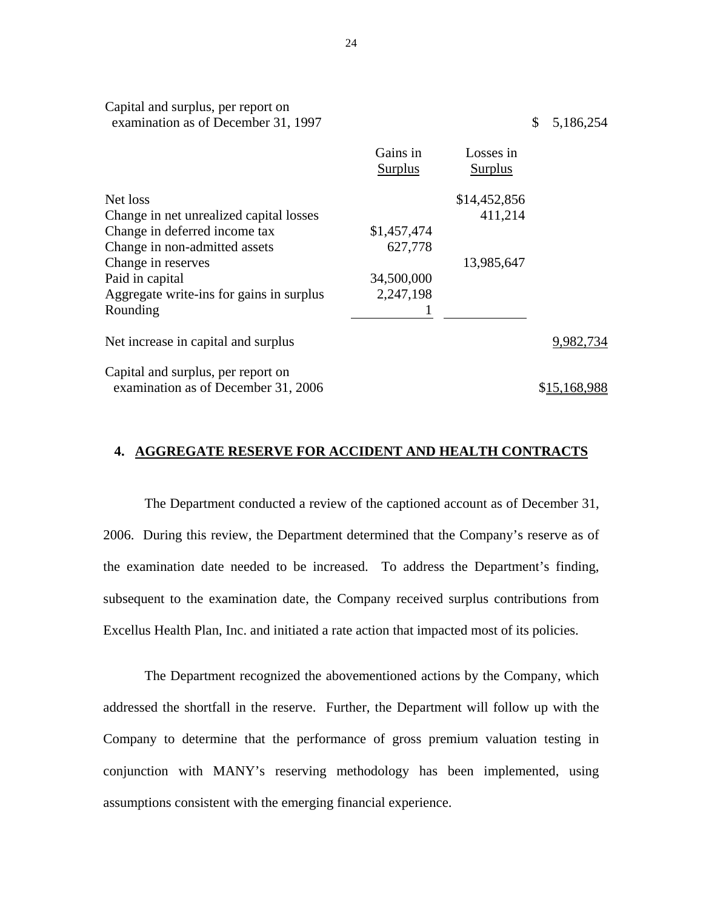| examination as of December 31, 1997      |                            |                             | \$<br>5,186,254 |
|------------------------------------------|----------------------------|-----------------------------|-----------------|
|                                          | Gains in<br><b>Surplus</b> | Losses in<br><b>Surplus</b> |                 |
| Net loss                                 |                            | \$14,452,856                |                 |
| Change in net unrealized capital losses  |                            | 411,214                     |                 |
| Change in deferred income tax            | \$1,457,474                |                             |                 |
| Change in non-admitted assets            | 627,778                    |                             |                 |
| Change in reserves                       |                            | 13,985,647                  |                 |
| Paid in capital                          | 34,500,000                 |                             |                 |
| Aggregate write-ins for gains in surplus | 2,247,198                  |                             |                 |
| Rounding                                 |                            |                             |                 |
| Net increase in capital and surplus      |                            |                             | 9,982,734       |
| Capital and surplus, per report on       |                            |                             |                 |
| examination as of December 31, 2006      |                            |                             | \$15,168,988    |

#### **4. AGGREGATE RESERVE FOR ACCIDENT AND HEALTH CONTRACTS**

The Department conducted a review of the captioned account as of December 31, 2006. During this review, the Department determined that the Company's reserve as of the examination date needed to be increased. To address the Department's finding, subsequent to the examination date, the Company received surplus contributions from Excellus Health Plan, Inc. and initiated a rate action that impacted most of its policies.

The Department recognized the abovementioned actions by the Company, which addressed the shortfall in the reserve. Further, the Department will follow up with the Company to determine that the performance of gross premium valuation testing in conjunction with MANY's reserving methodology has been implemented, using assumptions consistent with the emerging financial experience.

Capital and surplus, per report on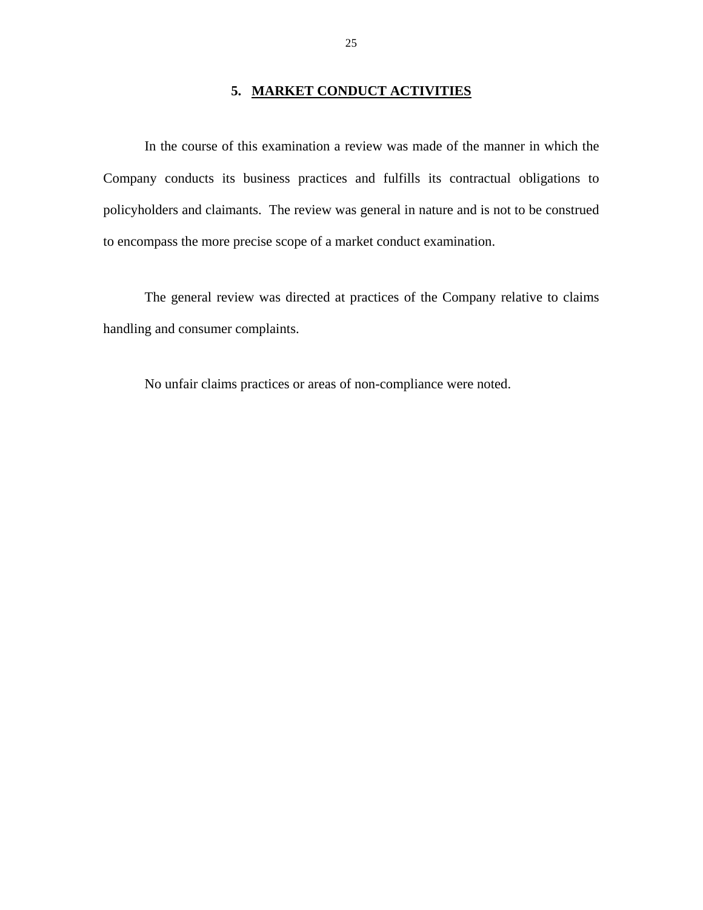#### **5. MARKET CONDUCT ACTIVITIES**

<span id="page-26-0"></span>In the course of this examination a review was made of the manner in which the Company conducts its business practices and fulfills its contractual obligations to policyholders and claimants. The review was general in nature and is not to be construed to encompass the more precise scope of a market conduct examination.

The general review was directed at practices of the Company relative to claims handling and consumer complaints.

No unfair claims practices or areas of non-compliance were noted.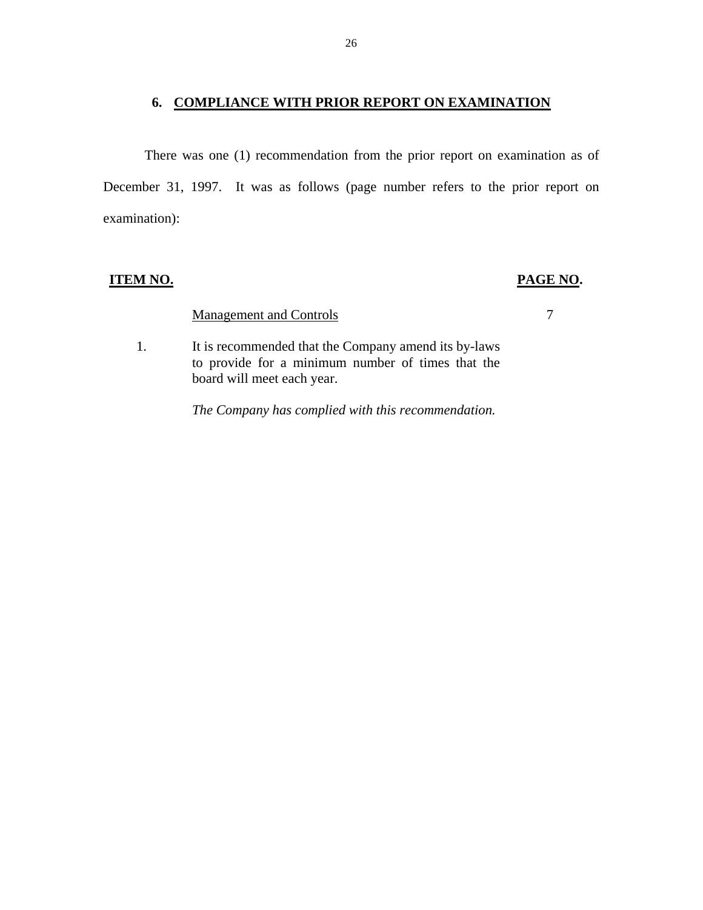#### **6. COMPLIANCE WITH PRIOR REPORT ON EXAMINATION**

<span id="page-27-0"></span>There was one (1) recommendation from the prior report on examination as of December 31, 1997. It was as follows (page number refers to the prior report on examination):

# **ITEM NO. PAGE NO.**

## Management and Controls 7

1. It is recommended that the Company amend its by-laws to provide for a minimum number of times that the board will meet each year.

*The Company has complied with this recommendation.*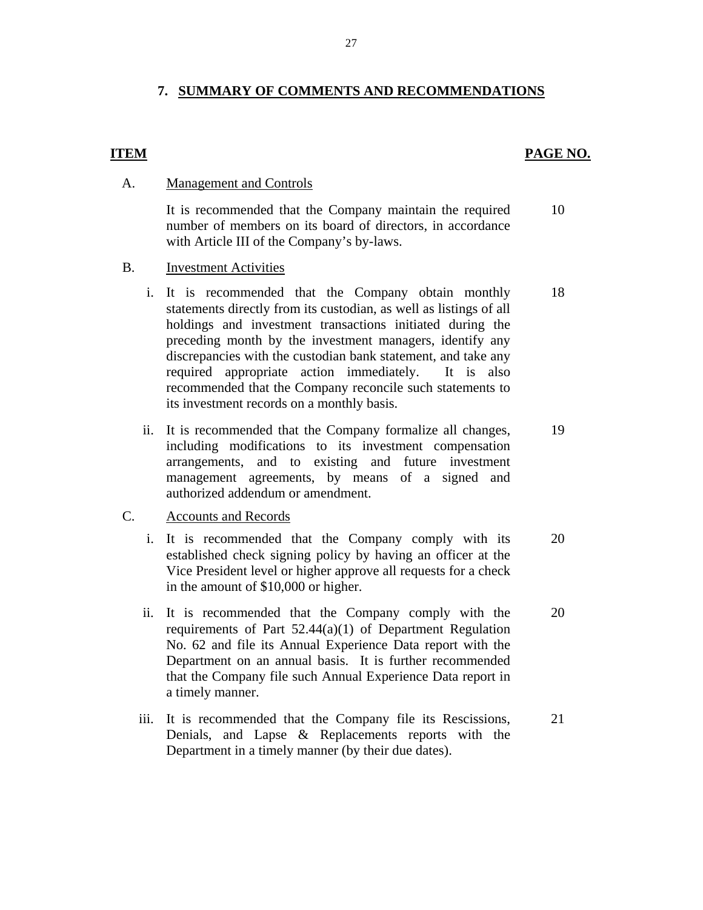## **7. SUMMARY OF COMMENTS AND RECOMMENDATIONS**

#### **ITEM** PAGE NO.

#### **Management and Controls**

A. Management and Controls<br>It is recommended that the Company maintain the required number of members on its board of directors, in accordance with Article III of the Company's by-laws. 10

#### **Investment Activities**

- B. Investment Activities<br>i. It is recommended that the Company obtain monthly statements directly from its custodian, as well as listings of all holdings and investment transactions initiated during the preceding month by the investment managers, identify any discrepancies with the custodian bank statement, and take any required appropriate action immediately. It is also recommended that the Company reconcile such statements to its investment records on a monthly basis. 18
	- ii. It is recommended that the Company formalize all changes, including modifications to its investment compensation arrangements, and to existing and future investment management agreements, by means of a signed and authorized addendum or amendment. 19

# C. Accounts and Records

- i. It is recommended that the Company comply with its established check signing policy by having an officer at the Vice President level or higher approve all requests for a check in the amount of \$10,000 or higher. 20
- ii. It is recommended that the Company comply with the requirements of Part 52.44(a)(1) of Department Regulation No. 62 and file its Annual Experience Data report with the Department on an annual basis. It is further recommended that the Company file such Annual Experience Data report in a timely manner. 20
- iii. It is recommended that the Company file its Rescissions, Denials, and Lapse & Replacements reports with the Department in a timely manner (by their due dates). 21

27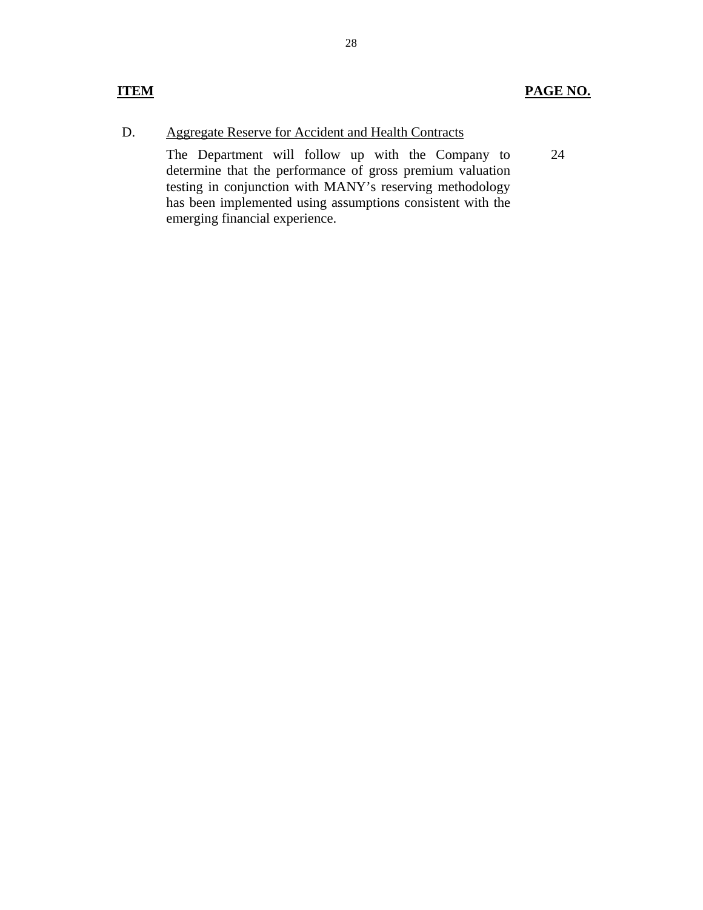### D. Aggregate Reserve for Accident and Health Contracts

The Department will follow up with the Company to determine that the performance of gross premium valuation testing in conjunction with MANY's reserving methodology has been implemented using assumptions consistent with the emerging financial experience. 24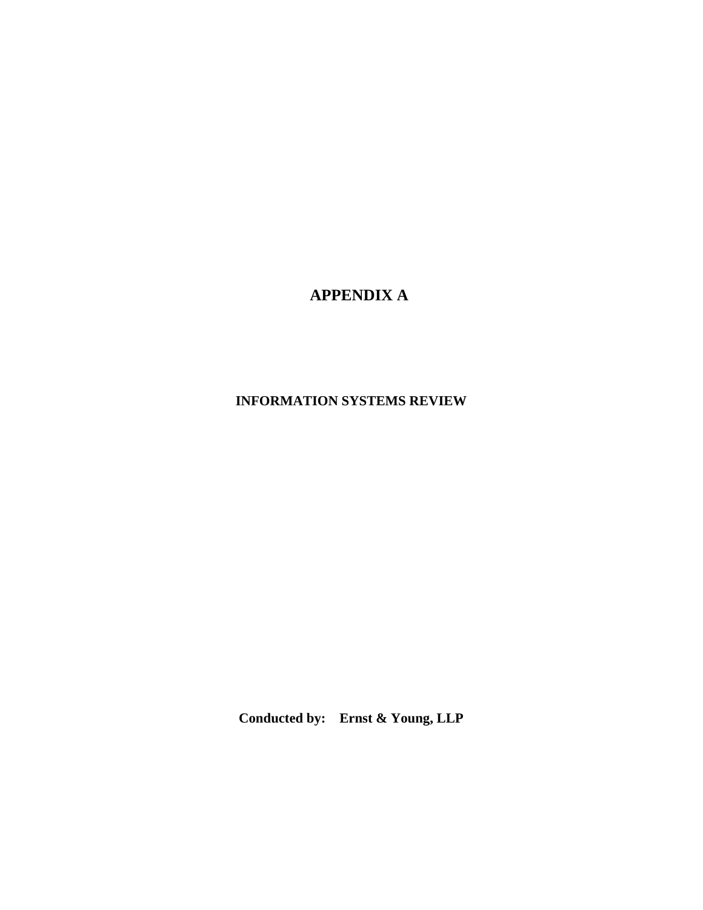# **APPENDIX A**

# **INFORMATION SYSTEMS REVIEW**

**Conducted by: Ernst & Young, LLP**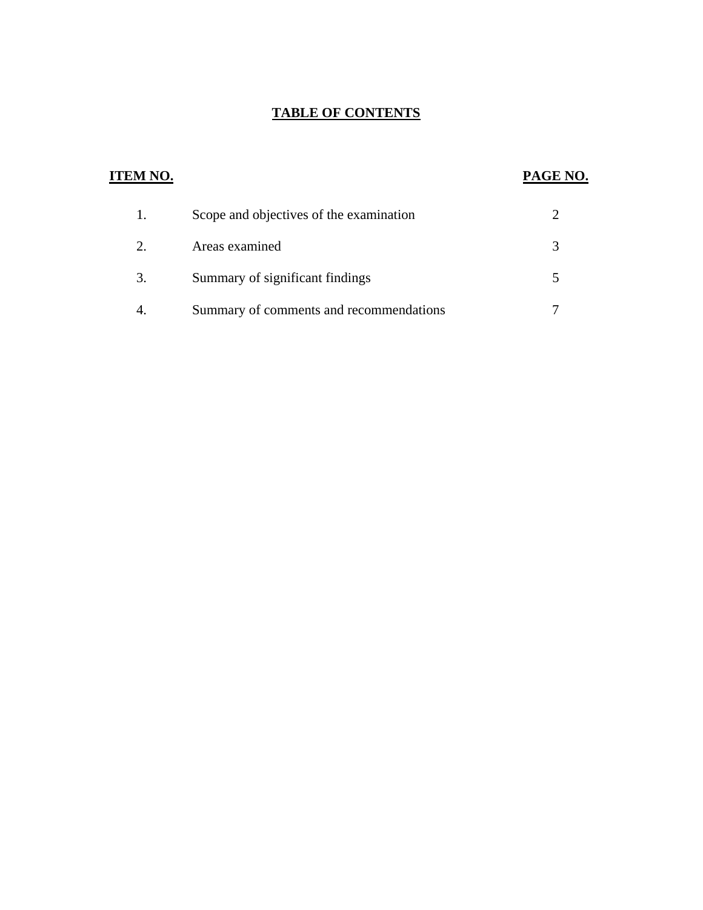# **TABLE OF CONTENTS**

# **ITEM NO. PAGE NO.**  1. Scope and objectives of the examination 2 [2. Areas examined 3](#page-4-0) [3. Summary of significant findings 5](#page-6-0) 4. Summary of comments and recommendations 7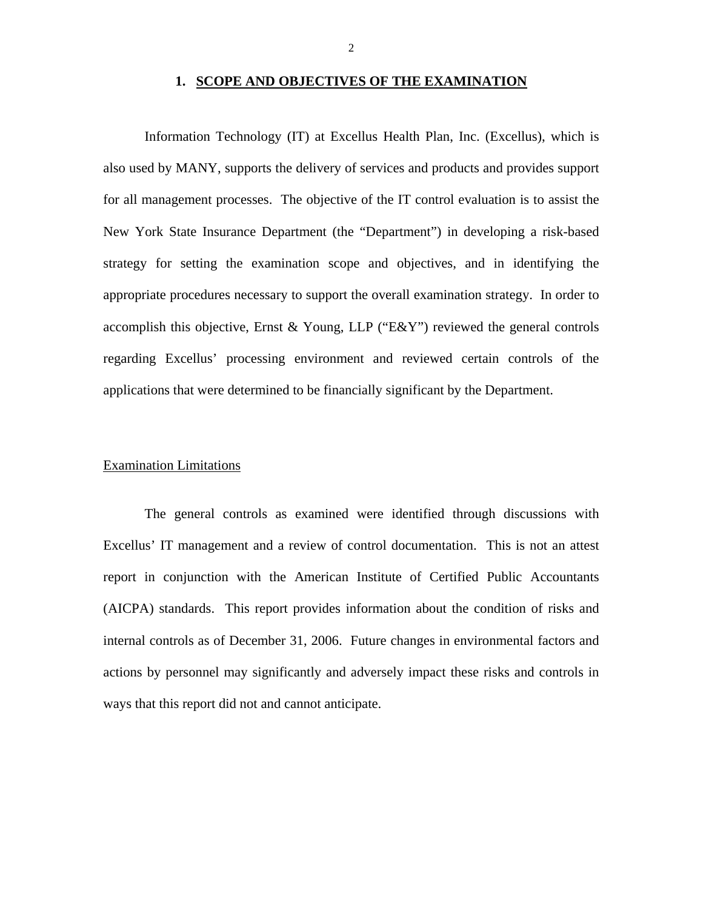#### **1. SCOPE AND OBJECTIVES OF THE EXAMINATION**

Information Technology (IT) at Excellus Health Plan, Inc. (Excellus), which is also used by MANY, supports the delivery of services and products and provides support for all management processes. The objective of the IT control evaluation is to assist the New York State Insurance Department (the "Department") in developing a risk-based strategy for setting the examination scope and objectives, and in identifying the appropriate procedures necessary to support the overall examination strategy. In order to accomplish this objective, Ernst & Young, LLP ("E&Y") reviewed the general controls regarding Excellus' processing environment and reviewed certain controls of the applications that were determined to be financially significant by the Department.

#### Examination Limitations

The general controls as examined were identified through discussions with Excellus' IT management and a review of control documentation. This is not an attest report in conjunction with the American Institute of Certified Public Accountants (AICPA) standards. This report provides information about the condition of risks and internal controls as of December 31, 2006. Future changes in environmental factors and actions by personnel may significantly and adversely impact these risks and controls in ways that this report did not and cannot anticipate.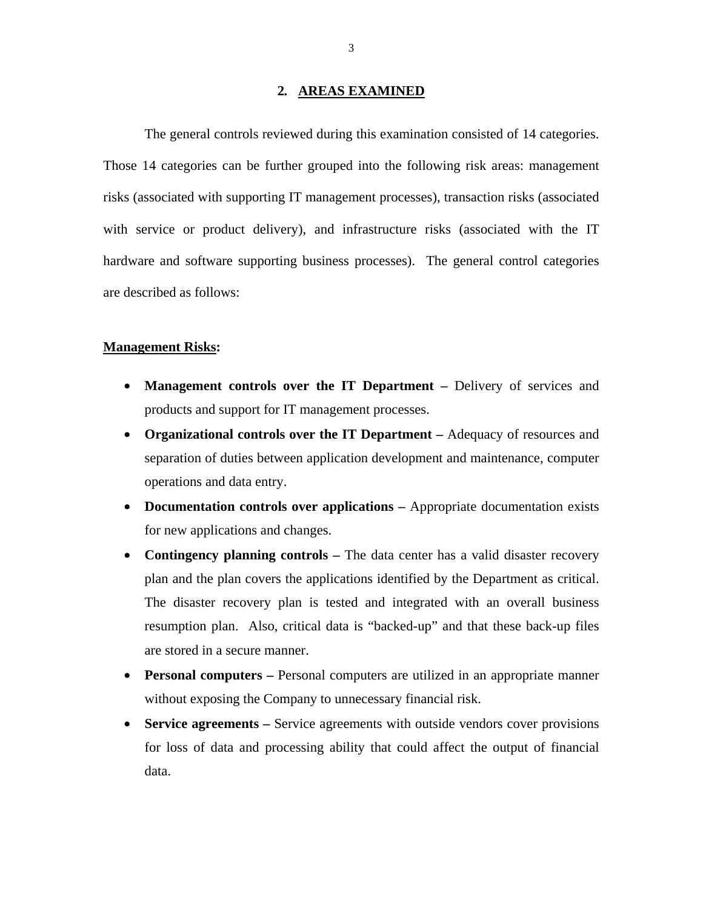#### **2***.* **AREAS EXAMINED**

The general controls reviewed during this examination consisted of 14 categories. Those 14 categories can be further grouped into the following risk areas: management risks (associated with supporting IT management processes), transaction risks (associated with service or product delivery), and infrastructure risks (associated with the IT hardware and software supporting business processes). The general control categories are described as follows:

#### **Management Risks:**

- **Management controls over the IT Department** Delivery of services and products and support for IT management processes.
- **Organizational controls over the IT Department** Adequacy of resources and separation of duties between application development and maintenance, computer operations and data entry.
- **Documentation controls over applications** Appropriate documentation exists for new applications and changes.
- **Contingency planning controls** The data center has a valid disaster recovery plan and the plan covers the applications identified by the Department as critical. The disaster recovery plan is tested and integrated with an overall business resumption plan. Also, critical data is "backed-up" and that these back-up files are stored in a secure manner.
- without exposing the Company to unnecessary financial risk. • **Personal computers** – Personal computers are utilized in an appropriate manner
- **Service agreements** Service agreements with outside vendors cover provisions for loss of data and processing ability that could affect the output of financial data.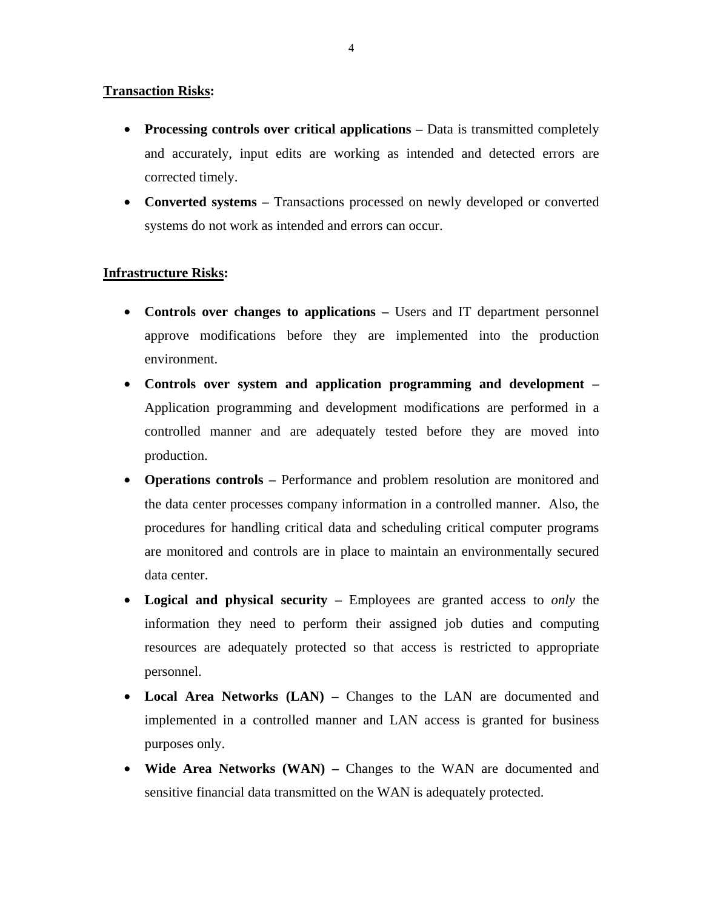#### **Transaction Risks:**

- **Processing controls over critical applications** Data is transmitted completely and accurately, input edits are working as intended and detected errors are corrected timely.
- **Converted systems –** Transactions processed on newly developed or converted systems do not work as intended and errors can occur.

### **Infrastructure Risks:**

- **Controls over changes to applications** Users and IT department personnel approve modifications before they are implemented into the production environment.
- **Controls over system and application programming and development**  Application programming and development modifications are performed in a controlled manner and are adequately tested before they are moved into production.
- **Operations controls –** Performance and problem resolution are monitored and the data center processes company information in a controlled manner. Also, the procedures for handling critical data and scheduling critical computer programs are monitored and controls are in place to maintain an environmentally secured data center.
- **Logical and physical security** Employees are granted access to *only* the information they need to perform their assigned job duties and computing resources are adequately protected so that access is restricted to appropriate personnel.
- **Local Area Networks (LAN)** Changes to the LAN are documented and implemented in a controlled manner and LAN access is granted for business purposes only.
- **Wide Area Networks (WAN) –** Changes to the WAN are documented and sensitive financial data transmitted on the WAN is adequately protected.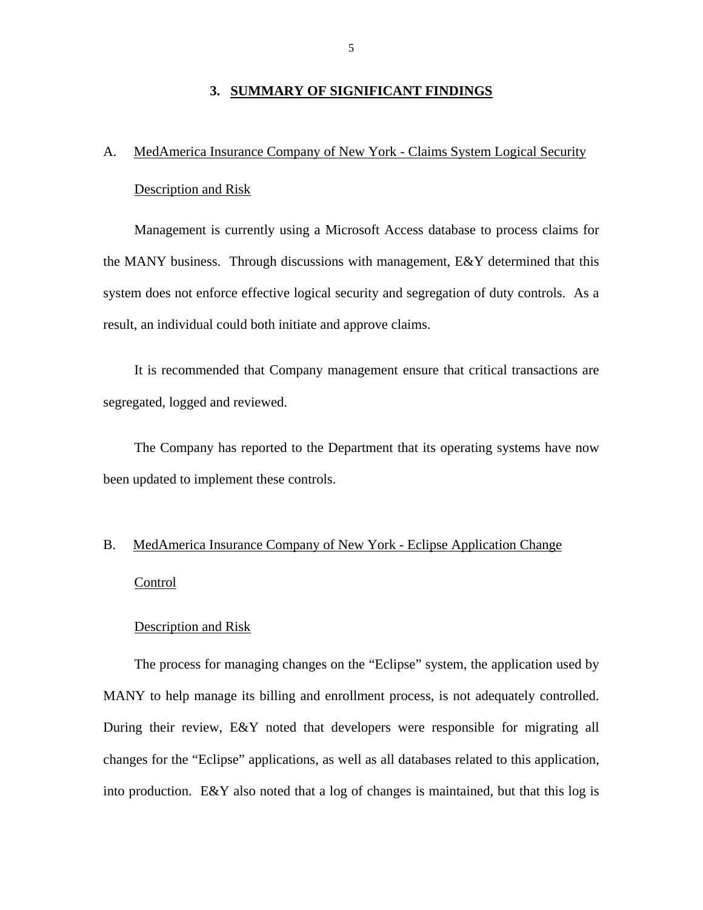#### **3. SUMMARY OF SIGNIFICANT FINDINGS**

#### A. MedAmerica Insurance Company of New York - Claims System Logical Security

#### Description and Risk

Management is currently using a Microsoft Access database to process claims for the MANY business. Through discussions with management, E&Y determined that this system does not enforce effective logical security and segregation of duty controls. As a result, an individual could both initiate and approve claims.

It is recommended that Company management ensure that critical transactions are segregated, logged and reviewed.

The Company has reported to the Department that its operating systems have now been updated to implement these controls.

# B. MedAmerica Insurance Company of New York - Eclipse Application Change Control

#### Description and Risk

 The process for managing changes on the "Eclipse" system, the application used by MANY to help manage its billing and enrollment process, is not adequately controlled. During their review, E&Y noted that developers were responsible for migrating all changes for the "Eclipse" applications, as well as all databases related to this application, into production. E&Y also noted that a log of changes is maintained, but that this log is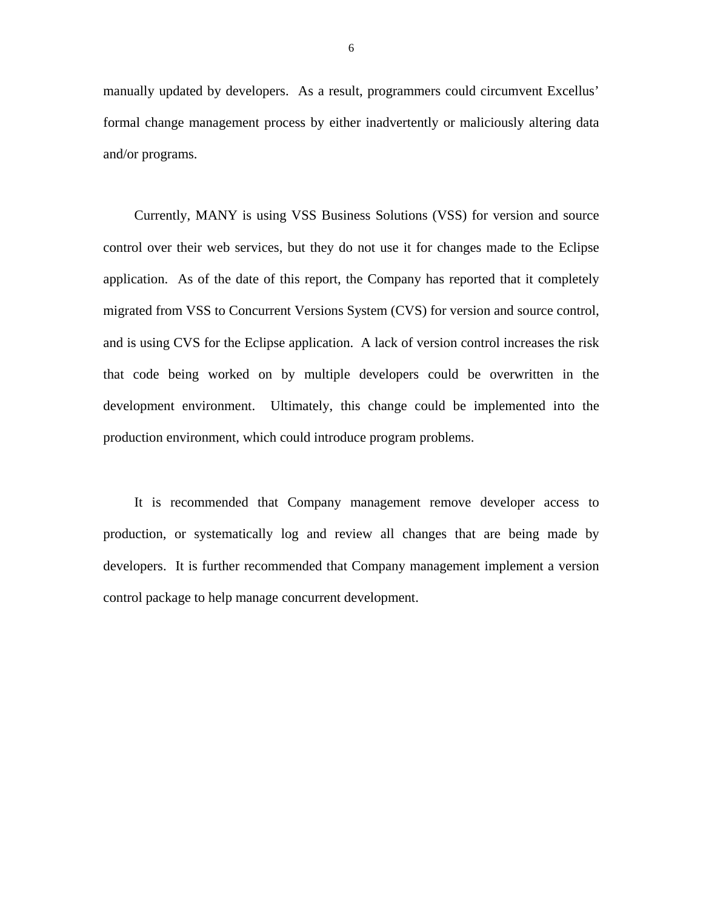manually updated by developers. As a result, programmers could circumvent Excellus' formal change management process by either inadvertently or maliciously altering data and/or programs.

 and is using CVS for the Eclipse application. A lack of version control increases the risk Currently, MANY is using VSS Business Solutions (VSS) for version and source control over their web services, but they do not use it for changes made to the Eclipse application. As of the date of this report, the Company has reported that it completely migrated from VSS to Concurrent Versions System (CVS) for version and source control, that code being worked on by multiple developers could be overwritten in the development environment. Ultimately, this change could be implemented into the production environment, which could introduce program problems.

It is recommended that Company management remove developer access to production, or systematically log and review all changes that are being made by developers. It is further recommended that Company management implement a version control package to help manage concurrent development.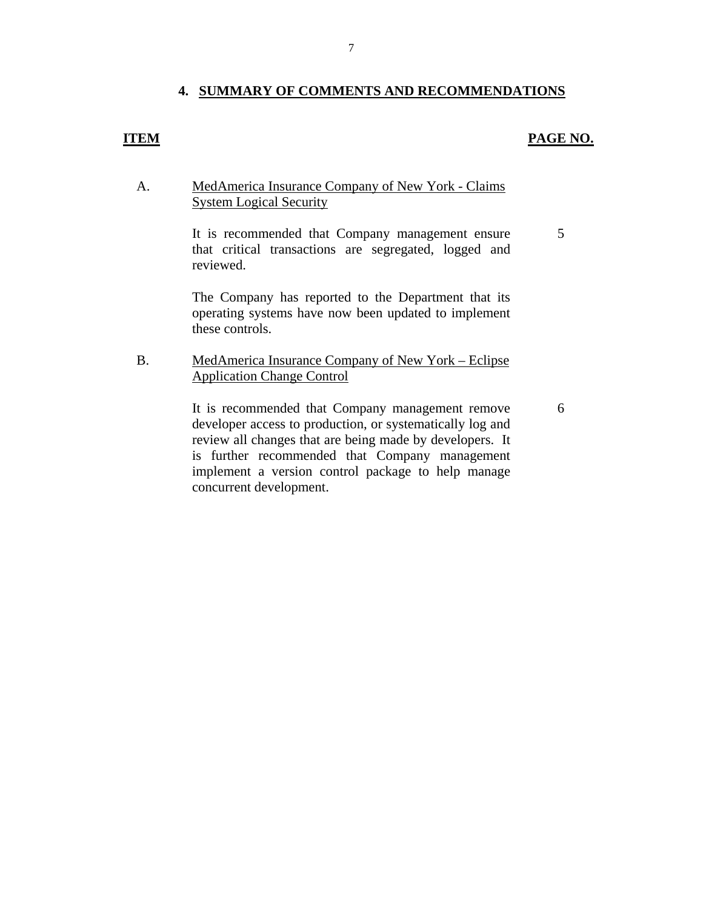## **4. SUMMARY OF COMMENTS AND RECOMMENDATIONS**

### **ITEM PAGE NO.**

5

#### A. MedAmerica Insurance Company of New York - Claims System Logical Security

It is recommended that Company management ensure that critical transactions are segregated, logged and reviewed.

The Company has reported to the Department that its operating systems have now been updated to implement these controls.

#### B. MedAmerica Insurance Company of New York – Eclipse Application Change Control

It is recommended that Company management remove developer access to production, or systematically log and review all changes that are being made by developers. It is further recommended that Company management implement a version control package to help manage concurrent development.

6